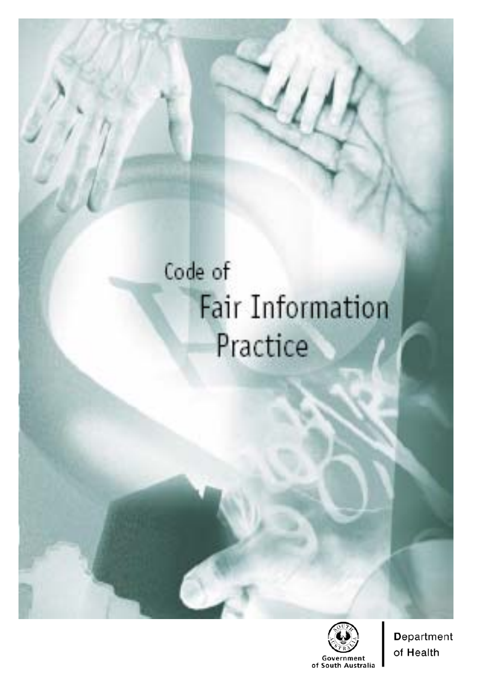# Code of **Fair Information** Practice



**Department** of Health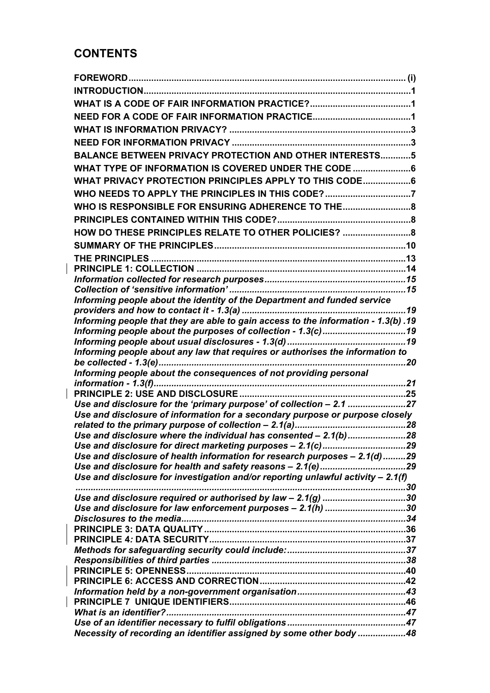# **CONTENTS**

| <b>BALANCE BETWEEN PRIVACY PROTECTION AND OTHER INTERESTS5</b>                     |  |
|------------------------------------------------------------------------------------|--|
| WHAT TYPE OF INFORMATION IS COVERED UNDER THE CODE 6                               |  |
| WHAT PRIVACY PROTECTION PRINCIPLES APPLY TO THIS CODE6                             |  |
| WHO NEEDS TO APPLY THE PRINCIPLES IN THIS CODE?7                                   |  |
|                                                                                    |  |
| WHO IS RESPONSIBLE FOR ENSURING ADHERENCE TO THE8                                  |  |
|                                                                                    |  |
| HOW DO THESE PRINCIPLES RELATE TO OTHER POLICIES? 8                                |  |
|                                                                                    |  |
|                                                                                    |  |
|                                                                                    |  |
|                                                                                    |  |
| Informing people about the identity of the Department and funded service           |  |
|                                                                                    |  |
| Informing people that they are able to gain access to the information - 1.3(b) .19 |  |
| Informing people about the purposes of collection - 1.3(c)19                       |  |
|                                                                                    |  |
|                                                                                    |  |
|                                                                                    |  |
| Informing people about the consequences of not providing personal                  |  |
|                                                                                    |  |
| Use and disclosure for the 'primary purpose' of collection - 2.1 27                |  |
| Use and disclosure of information for a secondary purpose or purpose closely       |  |
|                                                                                    |  |
| Use and disclosure where the individual has consented - 2.1(b)28                   |  |
|                                                                                    |  |
| Use and disclosure of health information for research purposes - 2.1(d)29          |  |
| Use and disclosure for investigation and/or reporting unlawful activity $-2.1(f)$  |  |
|                                                                                    |  |
| Use and disclosure required or authorised by law - 2.1(g) 30                       |  |
| Use and disclosure for law enforcement purposes - 2.1(h) 30                        |  |
|                                                                                    |  |
|                                                                                    |  |
|                                                                                    |  |
|                                                                                    |  |
|                                                                                    |  |
|                                                                                    |  |
|                                                                                    |  |
|                                                                                    |  |
|                                                                                    |  |
|                                                                                    |  |
| Necessity of recording an identifier assigned by some other body 48                |  |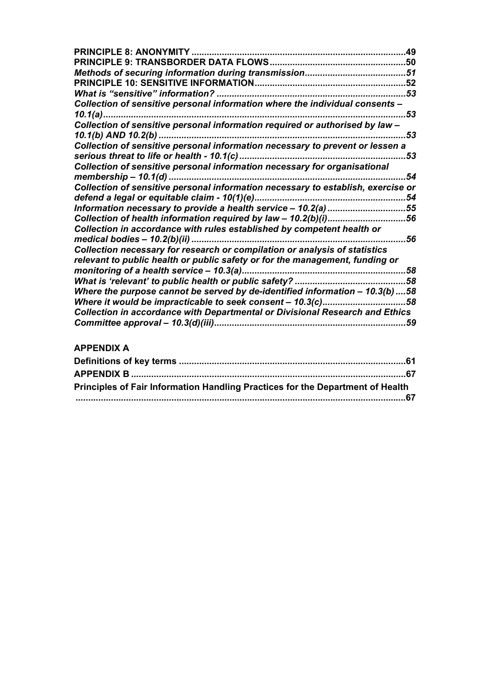| <b>PRINCIPLE 8: ANONYMITY.</b>                                                      | .49 |
|-------------------------------------------------------------------------------------|-----|
|                                                                                     |     |
|                                                                                     | .51 |
|                                                                                     | .52 |
| What is "sensitive" information?                                                    | .53 |
| Collection of sensitive personal information where the individual consents -        |     |
|                                                                                     | 53  |
| Collection of sensitive personal information required or authorised by law -        |     |
|                                                                                     | 53  |
| Collection of sensitive personal information necessary to prevent or lessen a       |     |
|                                                                                     | 53  |
| Collection of sensitive personal information necessary for organisational           |     |
|                                                                                     | 54  |
| Collection of sensitive personal information necessary to establish, exercise or    |     |
|                                                                                     | 54  |
| Information necessary to provide a health service - 10.2(a) 55                      |     |
| Collection of health information required by law - 10.2(b)(i)56                     |     |
| Collection in accordance with rules established by competent health or              |     |
|                                                                                     | 56  |
| Collection necessary for research or compilation or analysis of statistics          |     |
| relevant to public health or public safety or for the management, funding or        |     |
|                                                                                     | .58 |
|                                                                                     |     |
| Where the purpose cannot be served by de-identified information $-10.3(b)$ 58       |     |
|                                                                                     | .58 |
| <b>Collection in accordance with Departmental or Divisional Research and Ethics</b> |     |
|                                                                                     | .59 |

## **APPENDIX A**

| Principles of Fair Information Handling Practices for the Department of Health |  |
|--------------------------------------------------------------------------------|--|
|                                                                                |  |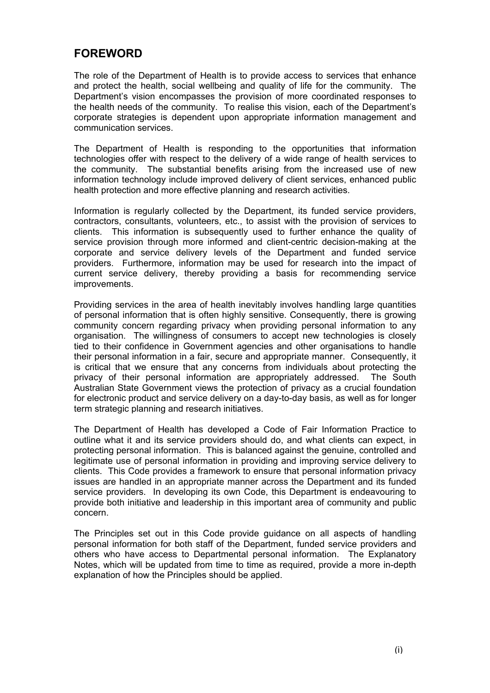## **FOREWORD**

The role of the Department of Health is to provide access to services that enhance and protect the health, social wellbeing and quality of life for the community. The Department's vision encompasses the provision of more coordinated responses to the health needs of the community. To realise this vision, each of the Department's corporate strategies is dependent upon appropriate information management and communication services.

The Department of Health is responding to the opportunities that information technologies offer with respect to the delivery of a wide range of health services to the community. The substantial benefits arising from the increased use of new information technology include improved delivery of client services, enhanced public health protection and more effective planning and research activities.

Information is regularly collected by the Department, its funded service providers, contractors, consultants, volunteers, etc., to assist with the provision of services to clients. This information is subsequently used to further enhance the quality of service provision through more informed and client-centric decision-making at the corporate and service delivery levels of the Department and funded service providers. Furthermore, information may be used for research into the impact of current service delivery, thereby providing a basis for recommending service improvements.

Providing services in the area of health inevitably involves handling large quantities of personal information that is often highly sensitive. Consequently, there is growing community concern regarding privacy when providing personal information to any organisation. The willingness of consumers to accept new technologies is closely tied to their confidence in Government agencies and other organisations to handle their personal information in a fair, secure and appropriate manner. Consequently, it is critical that we ensure that any concerns from individuals about protecting the privacy of their personal information are appropriately addressed. The South Australian State Government views the protection of privacy as a crucial foundation for electronic product and service delivery on a day-to-day basis, as well as for longer term strategic planning and research initiatives.

The Department of Health has developed a Code of Fair Information Practice to outline what it and its service providers should do, and what clients can expect, in protecting personal information. This is balanced against the genuine, controlled and legitimate use of personal information in providing and improving service delivery to clients. This Code provides a framework to ensure that personal information privacy issues are handled in an appropriate manner across the Department and its funded service providers. In developing its own Code, this Department is endeavouring to provide both initiative and leadership in this important area of community and public concern.

The Principles set out in this Code provide guidance on all aspects of handling personal information for both staff of the Department, funded service providers and others who have access to Departmental personal information. The Explanatory Notes, which will be updated from time to time as required, provide a more in-depth explanation of how the Principles should be applied.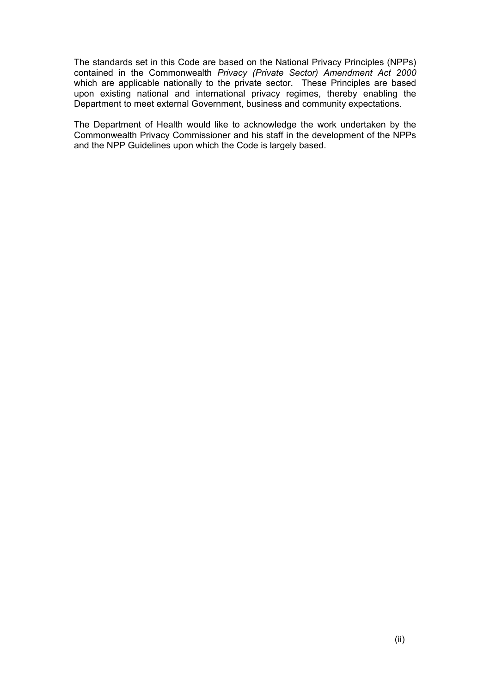The standards set in this Code are based on the National Privacy Principles (NPPs) contained in the Commonwealth *Privacy (Private Sector) Amendment Act 2000*  which are applicable nationally to the private sector. These Principles are based upon existing national and international privacy regimes, thereby enabling the Department to meet external Government, business and community expectations.

The Department of Health would like to acknowledge the work undertaken by the Commonwealth Privacy Commissioner and his staff in the development of the NPPs and the NPP Guidelines upon which the Code is largely based.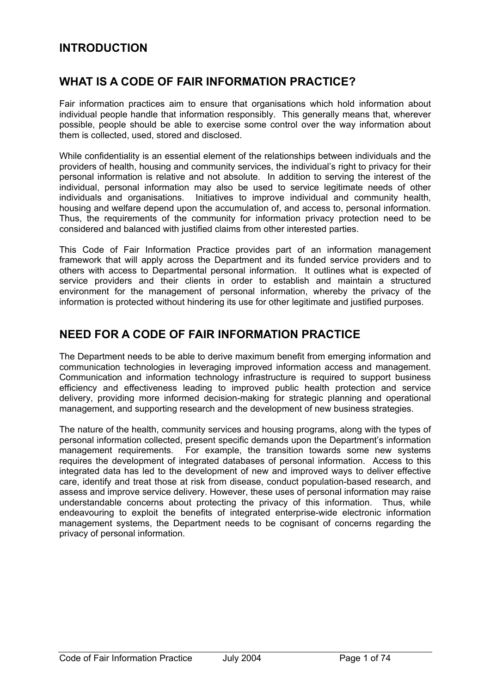## **INTRODUCTION**

## **WHAT IS A CODE OF FAIR INFORMATION PRACTICE?**

Fair information practices aim to ensure that organisations which hold information about individual people handle that information responsibly. This generally means that, wherever possible, people should be able to exercise some control over the way information about them is collected, used, stored and disclosed.

While confidentiality is an essential element of the relationships between individuals and the providers of health, housing and community services, the individual's right to privacy for their personal information is relative and not absolute. In addition to serving the interest of the individual, personal information may also be used to service legitimate needs of other individuals and organisations. Initiatives to improve individual and community health, housing and welfare depend upon the accumulation of, and access to, personal information. Thus, the requirements of the community for information privacy protection need to be considered and balanced with justified claims from other interested parties.

This Code of Fair Information Practice provides part of an information management framework that will apply across the Department and its funded service providers and to others with access to Departmental personal information. It outlines what is expected of service providers and their clients in order to establish and maintain a structured environment for the management of personal information, whereby the privacy of the information is protected without hindering its use for other legitimate and justified purposes.

## **NEED FOR A CODE OF FAIR INFORMATION PRACTICE**

The Department needs to be able to derive maximum benefit from emerging information and communication technologies in leveraging improved information access and management. Communication and information technology infrastructure is required to support business efficiency and effectiveness leading to improved public health protection and service delivery, providing more informed decision-making for strategic planning and operational management, and supporting research and the development of new business strategies.

The nature of the health, community services and housing programs, along with the types of personal information collected, present specific demands upon the Department's information management requirements. For example, the transition towards some new systems requires the development of integrated databases of personal information. Access to this integrated data has led to the development of new and improved ways to deliver effective care, identify and treat those at risk from disease, conduct population-based research, and assess and improve service delivery. However, these uses of personal information may raise understandable concerns about protecting the privacy of this information. Thus, while endeavouring to exploit the benefits of integrated enterprise-wide electronic information management systems, the Department needs to be cognisant of concerns regarding the privacy of personal information.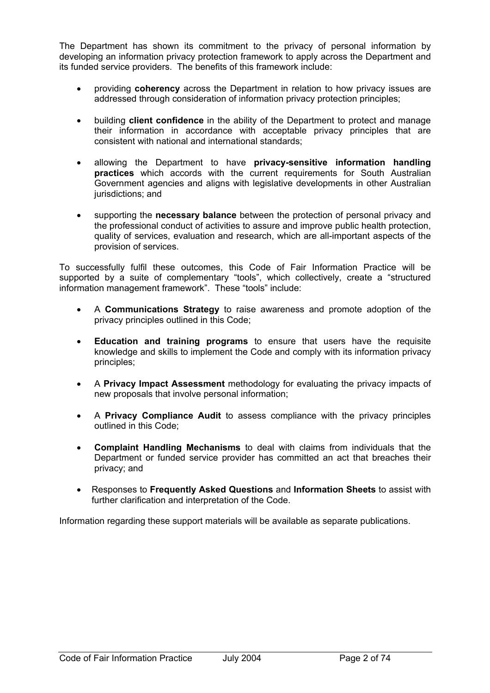The Department has shown its commitment to the privacy of personal information by developing an information privacy protection framework to apply across the Department and its funded service providers. The benefits of this framework include:

- providing **coherency** across the Department in relation to how privacy issues are addressed through consideration of information privacy protection principles:
- building **client confidence** in the ability of the Department to protect and manage their information in accordance with acceptable privacy principles that are consistent with national and international standards;
- allowing the Department to have **privacy-sensitive information handling practices** which accords with the current requirements for South Australian Government agencies and aligns with legislative developments in other Australian jurisdictions; and
- supporting the **necessary balance** between the protection of personal privacy and the professional conduct of activities to assure and improve public health protection, quality of services, evaluation and research, which are all-important aspects of the provision of services.

To successfully fulfil these outcomes, this Code of Fair Information Practice will be supported by a suite of complementary "tools", which collectively, create a "structured information management framework". These "tools" include:

- A **Communications Strategy** to raise awareness and promote adoption of the privacy principles outlined in this Code;
- **Education and training programs** to ensure that users have the requisite knowledge and skills to implement the Code and comply with its information privacy principles;
- A **Privacy Impact Assessment** methodology for evaluating the privacy impacts of new proposals that involve personal information;
- A **Privacy Compliance Audit** to assess compliance with the privacy principles outlined in this Code;
- **Complaint Handling Mechanisms** to deal with claims from individuals that the Department or funded service provider has committed an act that breaches their privacy; and
- Responses to **Frequently Asked Questions** and **Information Sheets** to assist with further clarification and interpretation of the Code.

Information regarding these support materials will be available as separate publications.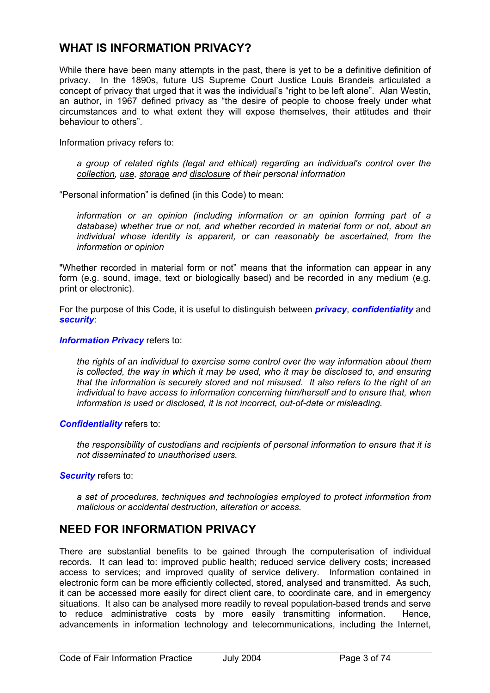## **WHAT IS INFORMATION PRIVACY?**

While there have been many attempts in the past, there is yet to be a definitive definition of privacy. In the 1890s, future US Supreme Court Justice Louis Brandeis articulated a concept of privacy that urged that it was the individual's "right to be left alone". Alan Westin, an author, in 1967 defined privacy as "the desire of people to choose freely under what circumstances and to what extent they will expose themselves, their attitudes and their behaviour to others".

Information privacy refers to:

*a group of related rights (legal and ethical) regarding an individual's control over the collection, use, storage and disclosure of their personal information* 

"Personal information" is defined (in this Code) to mean:

 *information or an opinion (including information or an opinion forming part of a database) whether true or not, and whether recorded in material form or not, about an individual whose identity is apparent, or can reasonably be ascertained, from the information or opinion* 

"Whether recorded in material form or not" means that the information can appear in any form (e.g. sound, image, text or biologically based) and be recorded in any medium (e.g. print or electronic).

For the purpose of this Code, it is useful to distinguish between *privacy*, *confidentiality* and *security*:

#### *Information Privacy* refers to:

*the rights of an individual to exercise some control over the way information about them is collected, the way in which it may be used, who it may be disclosed to, and ensuring that the information is securely stored and not misused. It also refers to the right of an individual to have access to information concerning him/herself and to ensure that, when information is used or disclosed, it is not incorrect, out-of-date or misleading.* 

*Confidentiality* refers to:

*the responsibility of custodians and recipients of personal information to ensure that it is not disseminated to unauthorised users.* 

#### *Security* refers to:

*a set of procedures, techniques and technologies employed to protect information from malicious or accidental destruction, alteration or access.* 

## **NEED FOR INFORMATION PRIVACY**

There are substantial benefits to be gained through the computerisation of individual records. It can lead to: improved public health; reduced service delivery costs; increased access to services; and improved quality of service delivery. Information contained in electronic form can be more efficiently collected, stored, analysed and transmitted. As such, it can be accessed more easily for direct client care, to coordinate care, and in emergency situations. It also can be analysed more readily to reveal population-based trends and serve to reduce administrative costs by more easily transmitting information. Hence, advancements in information technology and telecommunications, including the Internet,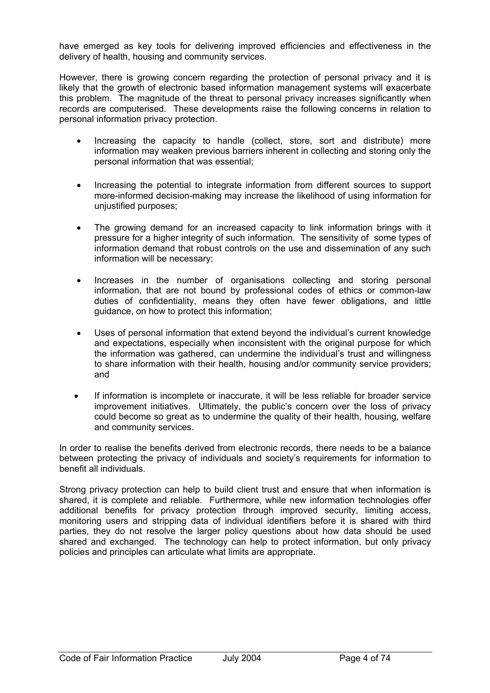have emerged as key tools for delivering improved efficiencies and effectiveness in the delivery of health, housing and community services.

However, there is growing concern regarding the protection of personal privacy and it is likely that the growth of electronic based information management systems will exacerbate this problem. The magnitude of the threat to personal privacy increases significantly when records are computerised. These developments raise the following concerns in relation to personal information privacy protection.

- Increasing the capacity to handle (collect, store, sort and distribute) more information may weaken previous barriers inherent in collecting and storing only the personal information that was essential;
- Increasing the potential to integrate information from different sources to support more-informed decision-making may increase the likelihood of using information for unjustified purposes;
- The growing demand for an increased capacity to link information brings with it pressure for a higher integrity of such information. The sensitivity of some types of information demand that robust controls on the use and dissemination of any such information will be necessary;
- Increases in the number of organisations collecting and storing personal information, that are not bound by professional codes of ethics or common-law duties of confidentiality, means they often have fewer obligations, and little guidance, on how to protect this information;
- Uses of personal information that extend beyond the individual's current knowledge and expectations, especially when inconsistent with the original purpose for which the information was gathered, can undermine the individual's trust and willingness to share information with their health, housing and/or community service providers; and
- If information is incomplete or inaccurate, it will be less reliable for broader service improvement initiatives. Ultimately, the public's concern over the loss of privacy could become so great as to undermine the quality of their health, housing, welfare and community services.

In order to realise the benefits derived from electronic records, there needs to be a balance between protecting the privacy of individuals and society's requirements for information to benefit all individuals.

Strong privacy protection can help to build client trust and ensure that when information is shared, it is complete and reliable. Furthermore, while new information technologies offer additional benefits for privacy protection through improved security, limiting access, monitoring users and stripping data of individual identifiers before it is shared with third parties, they do not resolve the larger policy questions about how data should be used shared and exchanged. The technology can help to protect information, but only privacy policies and principles can articulate what limits are appropriate.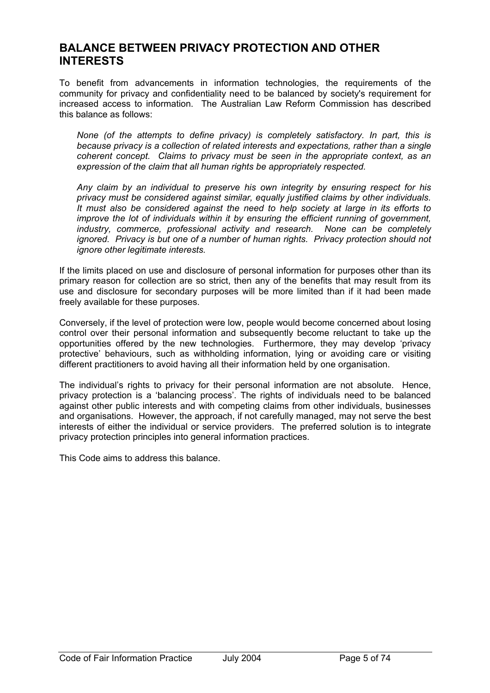## **BALANCE BETWEEN PRIVACY PROTECTION AND OTHER INTERESTS**

To benefit from advancements in information technologies, the requirements of the community for privacy and confidentiality need to be balanced by society's requirement for increased access to information. The Australian Law Reform Commission has described this balance as follows:

*None (of the attempts to define privacy) is completely satisfactory. In part, this is because privacy is a collection of related interests and expectations, rather than a single coherent concept. Claims to privacy must be seen in the appropriate context, as an expression of the claim that all human rights be appropriately respected.* 

*Any claim by an individual to preserve his own integrity by ensuring respect for his privacy must be considered against similar, equally justified claims by other individuals. It must also be considered against the need to help society at large in its efforts to improve the lot of individuals within it by ensuring the efficient running of government, industry, commerce, professional activity and research. None can be completely ignored. Privacy is but one of a number of human rights. Privacy protection should not ignore other legitimate interests.* 

If the limits placed on use and disclosure of personal information for purposes other than its primary reason for collection are so strict, then any of the benefits that may result from its use and disclosure for secondary purposes will be more limited than if it had been made freely available for these purposes.

Conversely, if the level of protection were low, people would become concerned about losing control over their personal information and subsequently become reluctant to take up the opportunities offered by the new technologies. Furthermore, they may develop 'privacy protective' behaviours, such as withholding information, lying or avoiding care or visiting different practitioners to avoid having all their information held by one organisation.

The individual's rights to privacy for their personal information are not absolute. Hence, privacy protection is a 'balancing process'. The rights of individuals need to be balanced against other public interests and with competing claims from other individuals, businesses and organisations. However, the approach, if not carefully managed, may not serve the best interests of either the individual or service providers. The preferred solution is to integrate privacy protection principles into general information practices.

This Code aims to address this balance.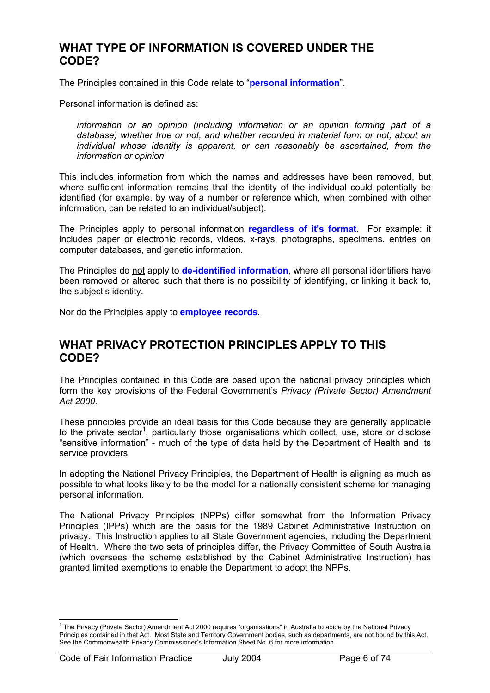## **WHAT TYPE OF INFORMATION IS COVERED UNDER THE CODE?**

The Principles contained in this Code relate to "**personal information**".

Personal information is defined as:

 *information or an opinion (including information or an opinion forming part of a database) whether true or not, and whether recorded in material form or not, about an individual whose identity is apparent, or can reasonably be ascertained, from the information or opinion* 

This includes information from which the names and addresses have been removed, but where sufficient information remains that the identity of the individual could potentially be identified (for example, by way of a number or reference which, when combined with other information, can be related to an individual/subject).

The Principles apply to personal information **regardless of it's format**. For example: it includes paper or electronic records, videos, x-rays, photographs, specimens, entries on computer databases, and genetic information.

The Principles do not apply to **de-identified information**, where all personal identifiers have been removed or altered such that there is no possibility of identifying, or linking it back to, the subject's identity.

Nor do the Principles apply to **employee records**.

## **WHAT PRIVACY PROTECTION PRINCIPLES APPLY TO THIS CODE?**

The Principles contained in this Code are based upon the national privacy principles which form the key provisions of the Federal Government's *Privacy (Private Sector) Amendment Act 2000.*

These principles provide an ideal basis for this Code because they are generally applicable to the private sector<sup>1</sup>, particularly those organisations which collect, use, store or disclose "sensitive information" - much of the type of data held by the Department of Health and its service providers.

In adopting the National Privacy Principles, the Department of Health is aligning as much as possible to what looks likely to be the model for a nationally consistent scheme for managing personal information.

The National Privacy Principles (NPPs) differ somewhat from the Information Privacy Principles (IPPs) which are the basis for the 1989 Cabinet Administrative Instruction on privacy. This Instruction applies to all State Government agencies, including the Department of Health. Where the two sets of principles differ, the Privacy Committee of South Australia (which oversees the scheme established by the Cabinet Administrative Instruction) has granted limited exemptions to enable the Department to adopt the NPPs.

 $\overline{a}$ <sup>1</sup> The Privacy (Private Sector) Amendment Act 2000 requires "organisations" in Australia to abide by the National Privacy Principles contained in that Act. Most State and Territory Government bodies, such as departments, are not bound by this Act. See the Commonwealth Privacy Commissioner's Information Sheet No. 6 for more information.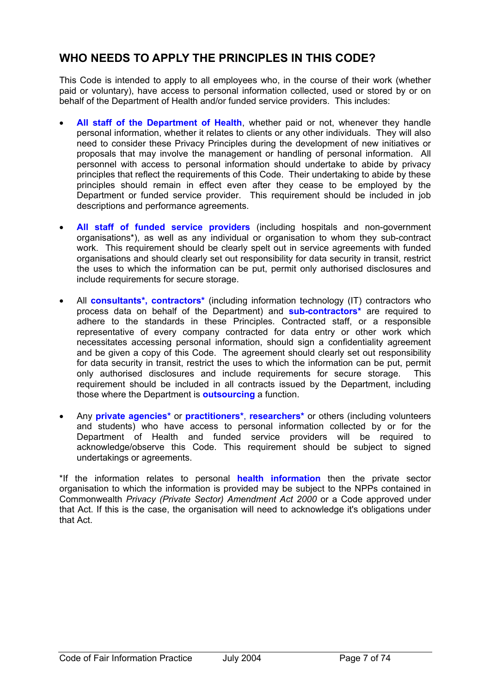## **WHO NEEDS TO APPLY THE PRINCIPLES IN THIS CODE?**

This Code is intended to apply to all employees who, in the course of their work (whether paid or voluntary), have access to personal information collected, used or stored by or on behalf of the Department of Health and/or funded service providers. This includes:

- **All staff of the Department of Health**, whether paid or not, whenever they handle personal information, whether it relates to clients or any other individuals. They will also need to consider these Privacy Principles during the development of new initiatives or proposals that may involve the management or handling of personal information. All personnel with access to personal information should undertake to abide by privacy principles that reflect the requirements of this Code. Their undertaking to abide by these principles should remain in effect even after they cease to be employed by the Department or funded service provider. This requirement should be included in job descriptions and performance agreements.
- **All staff of funded service providers** (including hospitals and non-government organisations\*), as well as any individual or organisation to whom they sub-contract work. This requirement should be clearly spelt out in service agreements with funded organisations and should clearly set out responsibility for data security in transit, restrict the uses to which the information can be put, permit only authorised disclosures and include requirements for secure storage.
- All **consultants\*, contractors\*** (including information technology (IT) contractors who process data on behalf of the Department) and **sub-contractors\*** are required to adhere to the standards in these Principles. Contracted staff, or a responsible representative of every company contracted for data entry or other work which necessitates accessing personal information, should sign a confidentiality agreement and be given a copy of this Code. The agreement should clearly set out responsibility for data security in transit, restrict the uses to which the information can be put, permit only authorised disclosures and include requirements for secure storage. This requirement should be included in all contracts issued by the Department, including those where the Department is **outsourcing** a function.
- Any **private agencies\*** or **practitioners\***, **researchers\*** or others (including volunteers and students) who have access to personal information collected by or for the Department of Health and funded service providers will be required to acknowledge/observe this Code. This requirement should be subject to signed undertakings or agreements.

\*If the information relates to personal **health information** then the private sector organisation to which the information is provided may be subject to the NPPs contained in Commonwealth *Privacy (Private Sector) Amendment Act 2000* or a Code approved under that Act. If this is the case, the organisation will need to acknowledge it's obligations under that Act.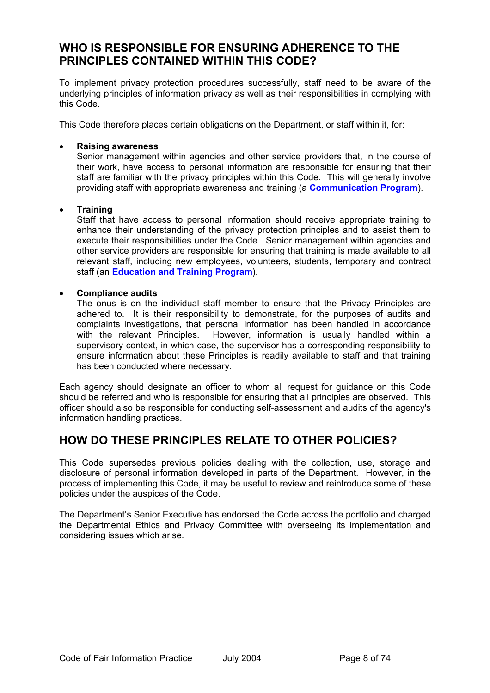## **WHO IS RESPONSIBLE FOR ENSURING ADHERENCE TO THE PRINCIPLES CONTAINED WITHIN THIS CODE?**

To implement privacy protection procedures successfully, staff need to be aware of the underlying principles of information privacy as well as their responsibilities in complying with this Code.

This Code therefore places certain obligations on the Department, or staff within it, for:

#### • **Raising awareness**

Senior management within agencies and other service providers that, in the course of their work, have access to personal information are responsible for ensuring that their staff are familiar with the privacy principles within this Code. This will generally involve providing staff with appropriate awareness and training (a **Communication Program**).

#### • **Training**

Staff that have access to personal information should receive appropriate training to enhance their understanding of the privacy protection principles and to assist them to execute their responsibilities under the Code. Senior management within agencies and other service providers are responsible for ensuring that training is made available to all relevant staff, including new employees, volunteers, students, temporary and contract staff (an **Education and Training Program**).

#### • **Compliance audits**

The onus is on the individual staff member to ensure that the Privacy Principles are adhered to. It is their responsibility to demonstrate, for the purposes of audits and complaints investigations, that personal information has been handled in accordance with the relevant Principles. However, information is usually handled within a supervisory context, in which case, the supervisor has a corresponding responsibility to ensure information about these Principles is readily available to staff and that training has been conducted where necessary.

Each agency should designate an officer to whom all request for guidance on this Code should be referred and who is responsible for ensuring that all principles are observed. This officer should also be responsible for conducting self-assessment and audits of the agency's information handling practices.

## **HOW DO THESE PRINCIPLES RELATE TO OTHER POLICIES?**

This Code supersedes previous policies dealing with the collection, use, storage and disclosure of personal information developed in parts of the Department. However, in the process of implementing this Code, it may be useful to review and reintroduce some of these policies under the auspices of the Code.

The Department's Senior Executive has endorsed the Code across the portfolio and charged the Departmental Ethics and Privacy Committee with overseeing its implementation and considering issues which arise.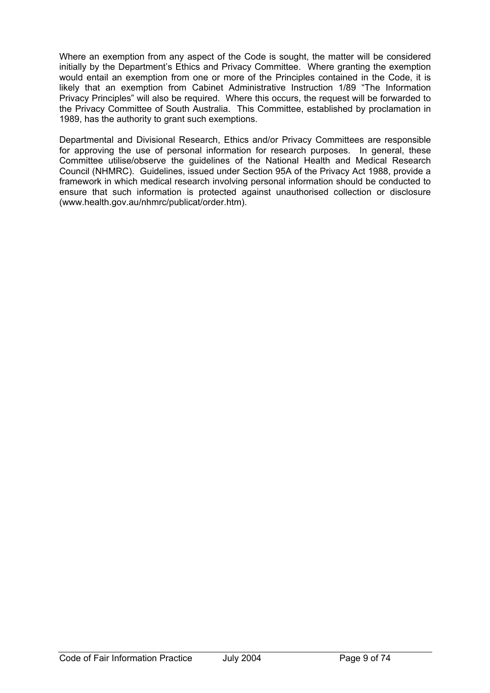Where an exemption from any aspect of the Code is sought, the matter will be considered initially by the Department's Ethics and Privacy Committee. Where granting the exemption would entail an exemption from one or more of the Principles contained in the Code, it is likely that an exemption from Cabinet Administrative Instruction 1/89 "The Information Privacy Principles" will also be required. Where this occurs, the request will be forwarded to the Privacy Committee of South Australia. This Committee, established by proclamation in 1989, has the authority to grant such exemptions.

Departmental and Divisional Research, Ethics and/or Privacy Committees are responsible for approving the use of personal information for research purposes. In general, these Committee utilise/observe the guidelines of the National Health and Medical Research Council (NHMRC). Guidelines, issued under Section 95A of the Privacy Act 1988, provide a framework in which medical research involving personal information should be conducted to ensure that such information is protected against unauthorised collection or disclosure (www.health.gov.au/nhmrc/publicat/order.htm).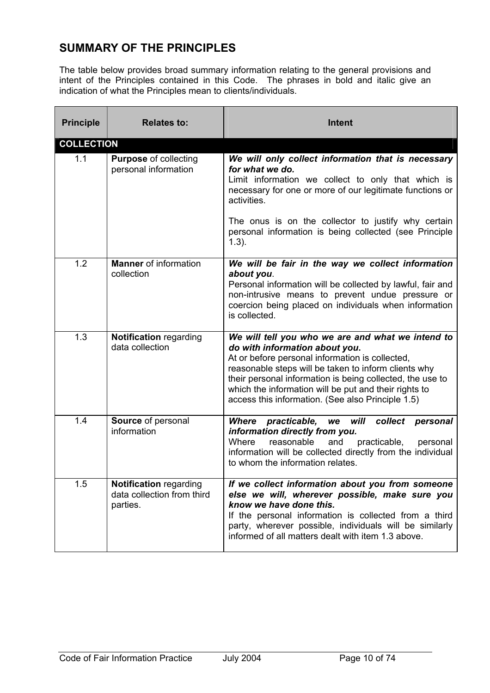## **SUMMARY OF THE PRINCIPLES**

The table below provides broad summary information relating to the general provisions and intent of the Principles contained in this Code. The phrases in bold and italic give an indication of what the Principles mean to clients/individuals.

| <b>Principle</b>  | <b>Relates to:</b>                                                      | Intent                                                                                                                                                                                                                                                                                                                                                                    |
|-------------------|-------------------------------------------------------------------------|---------------------------------------------------------------------------------------------------------------------------------------------------------------------------------------------------------------------------------------------------------------------------------------------------------------------------------------------------------------------------|
| <b>COLLECTION</b> |                                                                         |                                                                                                                                                                                                                                                                                                                                                                           |
| 1.1               | <b>Purpose of collecting</b><br>personal information                    | We will only collect information that is necessary<br>for what we do.<br>Limit information we collect to only that which is<br>necessary for one or more of our legitimate functions or<br>activities.<br>The onus is on the collector to justify why certain<br>personal information is being collected (see Principle<br>$1.3$ ).                                       |
| 1.2               | <b>Manner</b> of information<br>collection                              | We will be fair in the way we collect information<br>about you.<br>Personal information will be collected by lawful, fair and<br>non-intrusive means to prevent undue pressure or<br>coercion being placed on individuals when information<br>is collected.                                                                                                               |
| 1.3               | <b>Notification regarding</b><br>data collection                        | We will tell you who we are and what we intend to<br>do with information about you.<br>At or before personal information is collected,<br>reasonable steps will be taken to inform clients why<br>their personal information is being collected, the use to<br>which the information will be put and their rights to<br>access this information. (See also Principle 1.5) |
| 1.4               | Source of personal<br>information                                       | Where practicable, we will<br>collect<br>personal<br>information directly from you.<br>Where<br>reasonable<br>and<br>practicable,<br>personal<br>information will be collected directly from the individual<br>to whom the information relates.                                                                                                                           |
| 1.5               | <b>Notification regarding</b><br>data collection from third<br>parties. | If we collect information about you from someone<br>else we will, wherever possible, make sure you<br>know we have done this.<br>If the personal information is collected from a third<br>party, wherever possible, individuals will be similarly<br>informed of all matters dealt with item 1.3 above.                                                                   |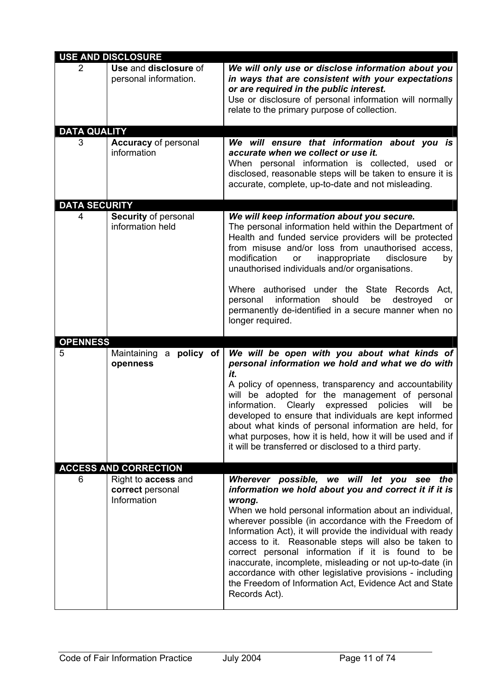|                      | <b>USE AND DISCLOSURE</b>                                     |                                                                                                                                                                                                                                                                                                                                                                                                                                                                                                                                                                                               |
|----------------------|---------------------------------------------------------------|-----------------------------------------------------------------------------------------------------------------------------------------------------------------------------------------------------------------------------------------------------------------------------------------------------------------------------------------------------------------------------------------------------------------------------------------------------------------------------------------------------------------------------------------------------------------------------------------------|
| 2                    | Use and disclosure of<br>personal information.                | We will only use or disclose information about you<br>in ways that are consistent with your expectations<br>or are required in the public interest.<br>Use or disclosure of personal information will normally<br>relate to the primary purpose of collection.                                                                                                                                                                                                                                                                                                                                |
| <b>DATA QUALITY</b>  |                                                               |                                                                                                                                                                                                                                                                                                                                                                                                                                                                                                                                                                                               |
| 3                    | <b>Accuracy</b> of personal<br>information                    | We will ensure that information about you is<br>accurate when we collect or use it.<br>When personal information is collected, used or<br>disclosed, reasonable steps will be taken to ensure it is<br>accurate, complete, up-to-date and not misleading.                                                                                                                                                                                                                                                                                                                                     |
| <b>DATA SECURITY</b> |                                                               |                                                                                                                                                                                                                                                                                                                                                                                                                                                                                                                                                                                               |
| 4                    | Security of personal<br>information held                      | We will keep information about you secure.<br>The personal information held within the Department of<br>Health and funded service providers will be protected<br>from misuse and/or loss from unauthorised access,<br>modification<br>inappropriate<br>disclosure<br>or<br>by<br>unauthorised individuals and/or organisations.                                                                                                                                                                                                                                                               |
|                      |                                                               | Where authorised under the State Records<br>Act,<br>information<br>should<br>be<br>destroyed<br>personal<br>or<br>permanently de-identified in a secure manner when no<br>longer required.                                                                                                                                                                                                                                                                                                                                                                                                    |
| <b>OPENNESS</b>      |                                                               |                                                                                                                                                                                                                                                                                                                                                                                                                                                                                                                                                                                               |
| 5                    | a policy of<br>Maintaining<br>openness                        | We will be open with you about what kinds of<br>personal information we hold and what we do with<br>it.<br>A policy of openness, transparency and accountability<br>will be adopted for the management of personal<br>Clearly expressed<br>information.<br>policies<br>will<br>be<br>developed to ensure that individuals are kept informed<br>about what kinds of personal information are held, for<br>what purposes, how it is held, how it will be used and if<br>it will be transferred or disclosed to a third party.                                                                   |
|                      | <b>ACCESS AND CORRECTION</b>                                  |                                                                                                                                                                                                                                                                                                                                                                                                                                                                                                                                                                                               |
| 6                    | Right to <b>access</b> and<br>correct personal<br>Information | Wherever possible, we will let you see the<br>information we hold about you and correct it if it is<br>wrong.<br>When we hold personal information about an individual,<br>wherever possible (in accordance with the Freedom of<br>Information Act), it will provide the individual with ready<br>access to it. Reasonable steps will also be taken to<br>correct personal information if it is found to be<br>inaccurate, incomplete, misleading or not up-to-date (in<br>accordance with other legislative provisions - including<br>the Freedom of Information Act, Evidence Act and State |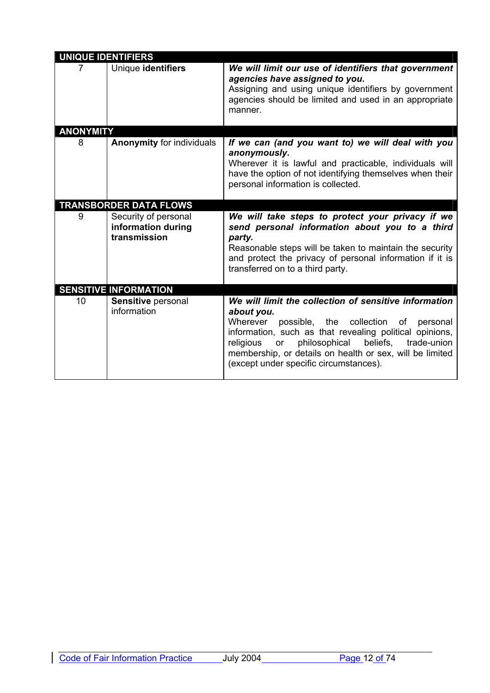| <b>UNIQUE IDENTIFIERS</b> |                                                            |                                                                                                                                                                                                                                                                                                                                                            |
|---------------------------|------------------------------------------------------------|------------------------------------------------------------------------------------------------------------------------------------------------------------------------------------------------------------------------------------------------------------------------------------------------------------------------------------------------------------|
|                           | Unique identifiers                                         | We will limit our use of identifiers that government<br>agencies have assigned to you.<br>Assigning and using unique identifiers by government<br>agencies should be limited and used in an appropriate<br>manner.                                                                                                                                         |
| <b>ANONYMITY</b>          |                                                            |                                                                                                                                                                                                                                                                                                                                                            |
| 8                         | <b>Anonymity for individuals</b>                           | If we can (and you want to) we will deal with you<br>anonymously.<br>Wherever it is lawful and practicable, individuals will<br>have the option of not identifying themselves when their<br>personal information is collected.                                                                                                                             |
|                           | <b>TRANSBORDER DATA FLOWS</b>                              |                                                                                                                                                                                                                                                                                                                                                            |
| 9                         | Security of personal<br>information during<br>transmission | We will take steps to protect your privacy if we<br>send personal information about you to a third<br>party.<br>Reasonable steps will be taken to maintain the security<br>and protect the privacy of personal information if it is<br>transferred on to a third party.                                                                                    |
|                           | <b>SENSITIVE INFORMATION</b>                               |                                                                                                                                                                                                                                                                                                                                                            |
| 10                        | Sensitive personal<br>information                          | We will limit the collection of sensitive information<br>about you.<br>Wherever<br>possible, the collection<br>of personal<br>information, such as that revealing political opinions,<br>beliefs,<br>religious<br>philosophical<br>trade-union<br>or<br>membership, or details on health or sex, will be limited<br>(except under specific circumstances). |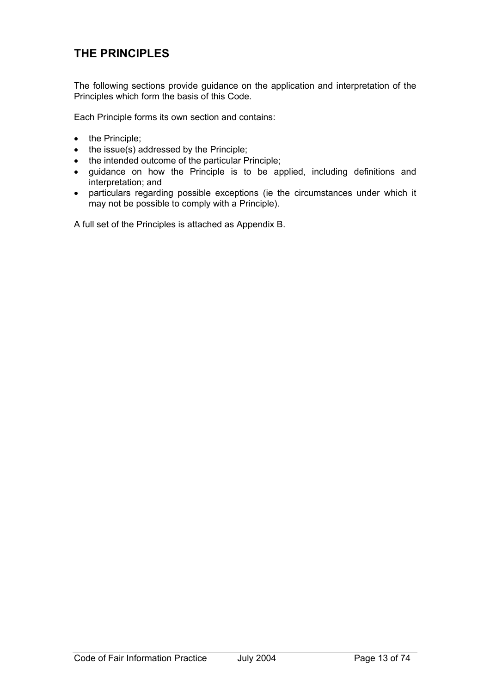# **THE PRINCIPLES**

The following sections provide guidance on the application and interpretation of the Principles which form the basis of this Code.

Each Principle forms its own section and contains:

- the Principle;
- the issue(s) addressed by the Principle;
- the intended outcome of the particular Principle;
- guidance on how the Principle is to be applied, including definitions and interpretation; and
- particulars regarding possible exceptions (ie the circumstances under which it may not be possible to comply with a Principle).

A full set of the Principles is attached as Appendix B.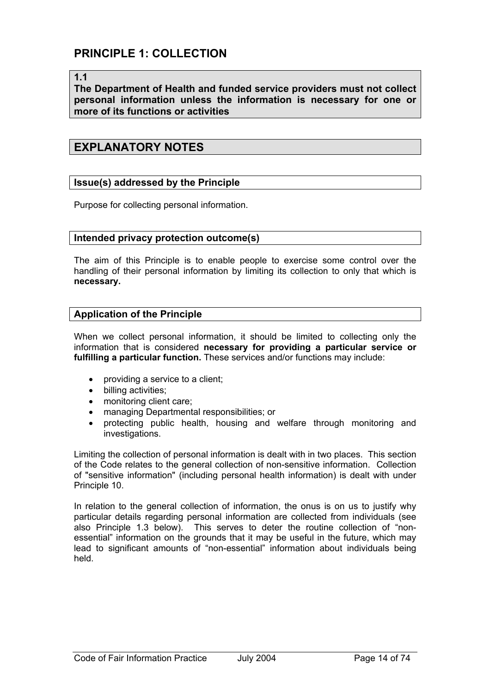#### **1.1**

**The Department of Health and funded service providers must not collect personal information unless the information is necessary for one or more of its functions or activities** 

### **EXPLANATORY NOTES**

#### **Issue(s) addressed by the Principle**

Purpose for collecting personal information.

#### **Intended privacy protection outcome(s)**

The aim of this Principle is to enable people to exercise some control over the handling of their personal information by limiting its collection to only that which is **necessary.**

#### **Application of the Principle**

When we collect personal information, it should be limited to collecting only the information that is considered **necessary for providing a particular service or fulfilling a particular function.** These services and/or functions may include:

- providing a service to a client;
- billing activities;
- monitoring client care;
- managing Departmental responsibilities; or
- protecting public health, housing and welfare through monitoring and investigations.

Limiting the collection of personal information is dealt with in two places. This section of the Code relates to the general collection of non-sensitive information. Collection of "sensitive information" (including personal health information) is dealt with under Principle 10.

In relation to the general collection of information, the onus is on us to justify why particular details regarding personal information are collected from individuals (see also Principle 1.3 below). This serves to deter the routine collection of "nonessential" information on the grounds that it may be useful in the future, which may lead to significant amounts of "non-essential" information about individuals being held.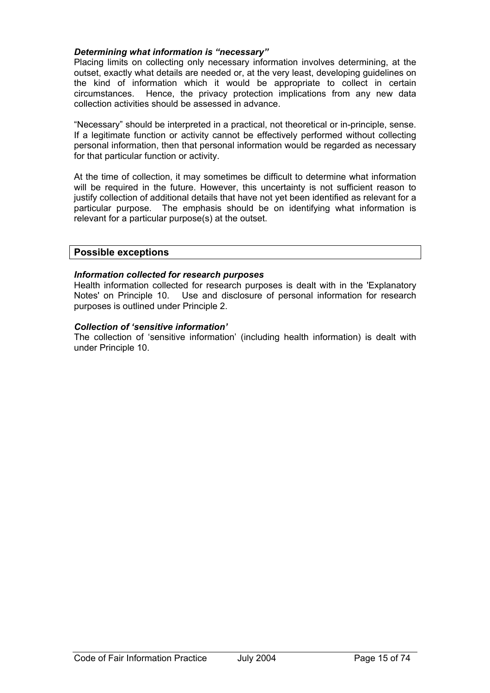#### *Determining what information is "necessary"*

Placing limits on collecting only necessary information involves determining, at the outset, exactly what details are needed or, at the very least, developing guidelines on the kind of information which it would be appropriate to collect in certain circumstances. Hence, the privacy protection implications from any new data collection activities should be assessed in advance.

"Necessary" should be interpreted in a practical, not theoretical or in-principle, sense. If a legitimate function or activity cannot be effectively performed without collecting personal information, then that personal information would be regarded as necessary for that particular function or activity.

At the time of collection, it may sometimes be difficult to determine what information will be required in the future. However, this uncertainty is not sufficient reason to justify collection of additional details that have not yet been identified as relevant for a particular purpose. The emphasis should be on identifying what information is relevant for a particular purpose(s) at the outset.

#### **Possible exceptions**

#### *Information collected for research purposes*

Health information collected for research purposes is dealt with in the 'Explanatory Notes' on Principle 10. Use and disclosure of personal information for research purposes is outlined under Principle 2.

#### *Collection of 'sensitive information'*

The collection of 'sensitive information' (including health information) is dealt with under Principle 10.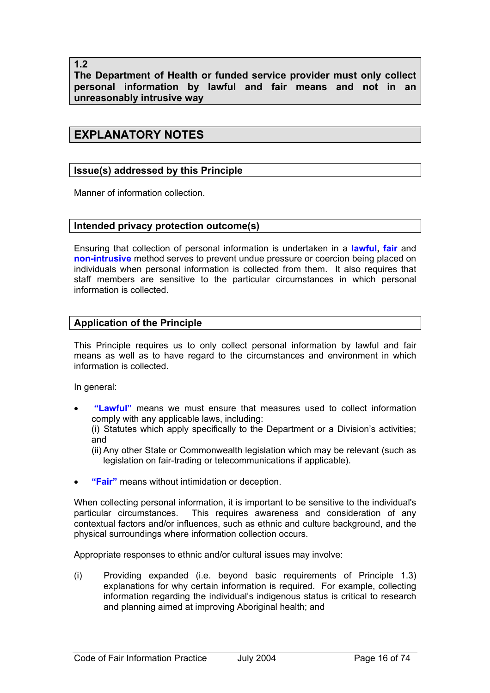**1.2** 

**The Department of Health or funded service provider must only collect personal information by lawful and fair means and not in an unreasonably intrusive way** 

## **EXPLANATORY NOTES**

#### **Issue(s) addressed by this Principle**

Manner of information collection.

#### **Intended privacy protection outcome(s)**

Ensuring that collection of personal information is undertaken in a **lawful, fair** and **non-intrusive** method serves to prevent undue pressure or coercion being placed on individuals when personal information is collected from them. It also requires that staff members are sensitive to the particular circumstances in which personal information is collected.

#### **Application of the Principle**

This Principle requires us to only collect personal information by lawful and fair means as well as to have regard to the circumstances and environment in which information is collected.

In general:

• **"Lawful"** means we must ensure that measures used to collect information comply with any applicable laws, including:

(i) Statutes which apply specifically to the Department or a Division's activities; and

- (ii) Any other State or Commonwealth legislation which may be relevant (such as legislation on fair-trading or telecommunications if applicable).
- **"Fair"** means without intimidation or deception.

When collecting personal information, it is important to be sensitive to the individual's particular circumstances. This requires awareness and consideration of any contextual factors and/or influences, such as ethnic and culture background, and the physical surroundings where information collection occurs.

Appropriate responses to ethnic and/or cultural issues may involve:

(i) Providing expanded (i.e. beyond basic requirements of Principle 1.3) explanations for why certain information is required. For example, collecting information regarding the individual's indigenous status is critical to research and planning aimed at improving Aboriginal health; and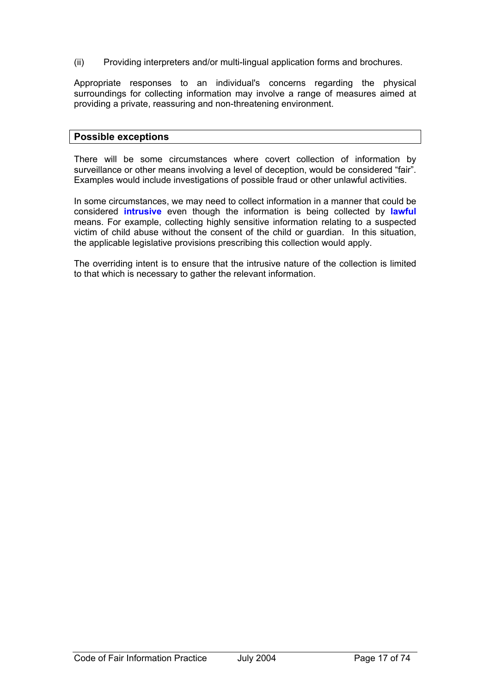(ii) Providing interpreters and/or multi-lingual application forms and brochures.

Appropriate responses to an individual's concerns regarding the physical surroundings for collecting information may involve a range of measures aimed at providing a private, reassuring and non-threatening environment.

#### **Possible exceptions**

There will be some circumstances where covert collection of information by surveillance or other means involving a level of deception, would be considered "fair". Examples would include investigations of possible fraud or other unlawful activities.

In some circumstances, we may need to collect information in a manner that could be considered **intrusive** even though the information is being collected by **lawful**  means. For example, collecting highly sensitive information relating to a suspected victim of child abuse without the consent of the child or guardian. In this situation, the applicable legislative provisions prescribing this collection would apply.

The overriding intent is to ensure that the intrusive nature of the collection is limited to that which is necessary to gather the relevant information.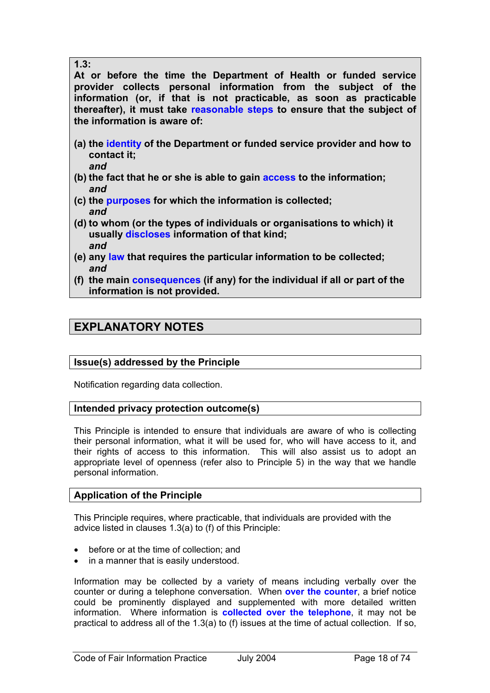**1.3:** 

**At or before the time the Department of Health or funded service provider collects personal information from the subject of the information (or, if that is not practicable, as soon as practicable thereafter), it must take reasonable steps to ensure that the subject of the information is aware of:** 

- **(a) the identity of the Department or funded service provider and how to contact it;**  *and*
- **(b) the fact that he or she is able to gain access to the information;**  *and*
- **(c) the purposes for which the information is collected;**  *and*
- **(d) to whom (or the types of individuals or organisations to which) it usually discloses information of that kind;**  *and*
- **(e) any law that requires the particular information to be collected;**  *and*
- **(f) the main consequences (if any) for the individual if all or part of the information is not provided.**

## **EXPLANATORY NOTES**

## **Issue(s) addressed by the Principle**

Notification regarding data collection.

#### **Intended privacy protection outcome(s)**

This Principle is intended to ensure that individuals are aware of who is collecting their personal information, what it will be used for, who will have access to it, and their rights of access to this information. This will also assist us to adopt an appropriate level of openness (refer also to Principle 5) in the way that we handle personal information.

## **Application of the Principle**

This Principle requires, where practicable, that individuals are provided with the advice listed in clauses 1.3(a) to (f) of this Principle:

- before or at the time of collection; and
- in a manner that is easily understood.

Information may be collected by a variety of means including verbally over the counter or during a telephone conversation. When **over the counter**, a brief notice could be prominently displayed and supplemented with more detailed written information. Where information is **collected over the telephone**, it may not be practical to address all of the 1.3(a) to (f) issues at the time of actual collection. If so,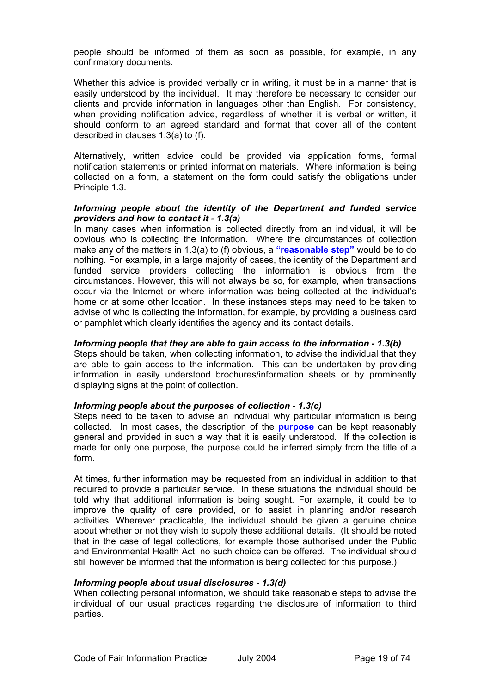people should be informed of them as soon as possible, for example, in any confirmatory documents.

Whether this advice is provided verbally or in writing, it must be in a manner that is easily understood by the individual. It may therefore be necessary to consider our clients and provide information in languages other than English. For consistency, when providing notification advice, regardless of whether it is verbal or written, it should conform to an agreed standard and format that cover all of the content described in clauses 1.3(a) to (f).

Alternatively, written advice could be provided via application forms, formal notification statements or printed information materials. Where information is being collected on a form, a statement on the form could satisfy the obligations under Principle 1.3.

#### *Informing people about the identity of the Department and funded service providers and how to contact it - 1.3(a)*

In many cases when information is collected directly from an individual, it will be obvious who is collecting the information. Where the circumstances of collection make any of the matters in 1.3(a) to (f) obvious, a **"reasonable step"** would be to do nothing. For example, in a large majority of cases, the identity of the Department and funded service providers collecting the information is obvious from the circumstances. However, this will not always be so, for example, when transactions occur via the Internet or where information was being collected at the individual's home or at some other location. In these instances steps may need to be taken to advise of who is collecting the information, for example, by providing a business card or pamphlet which clearly identifies the agency and its contact details.

#### *Informing people that they are able to gain access to the information - 1.3(b)*

Steps should be taken, when collecting information, to advise the individual that they are able to gain access to the information. This can be undertaken by providing information in easily understood brochures/information sheets or by prominently displaying signs at the point of collection.

#### *Informing people about the purposes of collection - 1.3(c)*

Steps need to be taken to advise an individual why particular information is being collected. In most cases, the description of the **purpose** can be kept reasonably general and provided in such a way that it is easily understood. If the collection is made for only one purpose, the purpose could be inferred simply from the title of a form.

At times, further information may be requested from an individual in addition to that required to provide a particular service. In these situations the individual should be told why that additional information is being sought. For example, it could be to improve the quality of care provided, or to assist in planning and/or research activities. Wherever practicable, the individual should be given a genuine choice about whether or not they wish to supply these additional details. (It should be noted that in the case of legal collections, for example those authorised under the Public and Environmental Health Act, no such choice can be offered. The individual should still however be informed that the information is being collected for this purpose.)

#### *Informing people about usual disclosures - 1.3(d)*

When collecting personal information, we should take reasonable steps to advise the individual of our usual practices regarding the disclosure of information to third parties.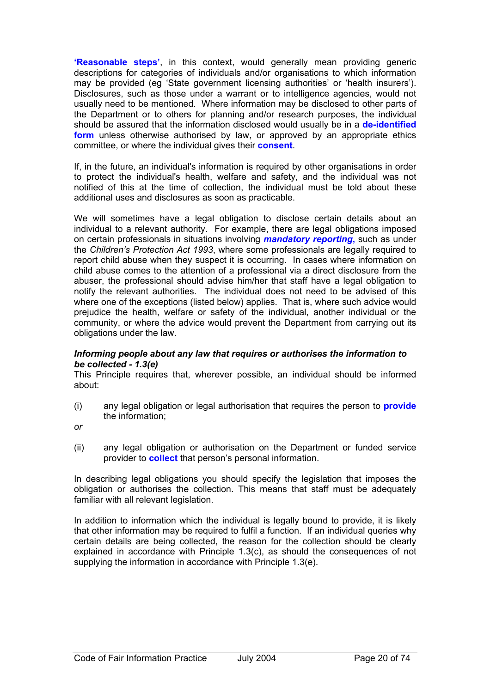**'Reasonable steps'**, in this context, would generally mean providing generic descriptions for categories of individuals and/or organisations to which information may be provided (eg 'State government licensing authorities' or 'health insurers'). Disclosures, such as those under a warrant or to intelligence agencies, would not usually need to be mentioned. Where information may be disclosed to other parts of the Department or to others for planning and/or research purposes, the individual should be assured that the information disclosed would usually be in a **de-identified form** unless otherwise authorised by law, or approved by an appropriate ethics committee, or where the individual gives their **consent**.

If, in the future, an individual's information is required by other organisations in order to protect the individual's health, welfare and safety, and the individual was not notified of this at the time of collection, the individual must be told about these additional uses and disclosures as soon as practicable.

We will sometimes have a legal obligation to disclose certain details about an individual to a relevant authority. For example, there are legal obligations imposed on certain professionals in situations involving *mandatory reporting***,** such as under the *Children's Protection Act 1993*, where some professionals are legally required to report child abuse when they suspect it is occurring. In cases where information on child abuse comes to the attention of a professional via a direct disclosure from the abuser, the professional should advise him/her that staff have a legal obligation to notify the relevant authorities. The individual does not need to be advised of this where one of the exceptions (listed below) applies. That is, where such advice would prejudice the health, welfare or safety of the individual, another individual or the community, or where the advice would prevent the Department from carrying out its obligations under the law.

#### *Informing people about any law that requires or authorises the information to be collected - 1.3(e)*

This Principle requires that, wherever possible, an individual should be informed about:

(i) any legal obligation or legal authorisation that requires the person to **provide** the information;

*or* 

(ii) any legal obligation or authorisation on the Department or funded service provider to **collect** that person's personal information.

In describing legal obligations you should specify the legislation that imposes the obligation or authorises the collection. This means that staff must be adequately familiar with all relevant legislation.

In addition to information which the individual is legally bound to provide, it is likely that other information may be required to fulfil a function. If an individual queries why certain details are being collected, the reason for the collection should be clearly explained in accordance with Principle 1.3(c), as should the consequences of not supplying the information in accordance with Principle 1.3(e).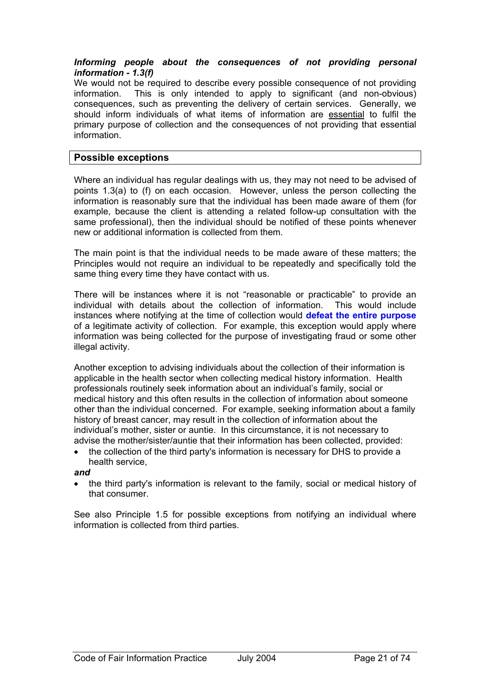#### *Informing people about the consequences of not providing personal information - 1.3(f)*

We would not be required to describe every possible consequence of not providing information. This is only intended to apply to significant (and non-obvious) consequences, such as preventing the delivery of certain services. Generally, we should inform individuals of what items of information are essential to fulfil the primary purpose of collection and the consequences of not providing that essential information.

#### **Possible exceptions**

Where an individual has regular dealings with us, they may not need to be advised of points 1.3(a) to (f) on each occasion. However, unless the person collecting the information is reasonably sure that the individual has been made aware of them (for example, because the client is attending a related follow-up consultation with the same professional), then the individual should be notified of these points whenever new or additional information is collected from them.

The main point is that the individual needs to be made aware of these matters; the Principles would not require an individual to be repeatedly and specifically told the same thing every time they have contact with us.

There will be instances where it is not "reasonable or practicable" to provide an individual with details about the collection of information. This would include instances where notifying at the time of collection would **defeat the entire purpose** of a legitimate activity of collection. For example, this exception would apply where information was being collected for the purpose of investigating fraud or some other illegal activity.

Another exception to advising individuals about the collection of their information is applicable in the health sector when collecting medical history information. Health professionals routinely seek information about an individual's family, social or medical history and this often results in the collection of information about someone other than the individual concerned. For example, seeking information about a family history of breast cancer, may result in the collection of information about the individual's mother, sister or auntie. In this circumstance, it is not necessary to advise the mother/sister/auntie that their information has been collected, provided:

• the collection of the third party's information is necessary for DHS to provide a health service,

#### *and*

• the third party's information is relevant to the family, social or medical history of that consumer.

See also Principle 1.5 for possible exceptions from notifying an individual where information is collected from third parties.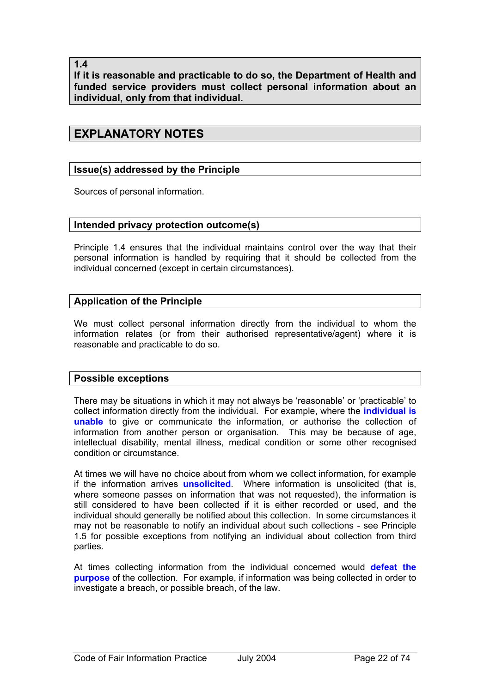**1.4** 

**If it is reasonable and practicable to do so, the Department of Health and funded service providers must collect personal information about an individual, only from that individual.** 

## **EXPLANATORY NOTES**

#### **Issue(s) addressed by the Principle**

Sources of personal information.

#### **Intended privacy protection outcome(s)**

Principle 1.4 ensures that the individual maintains control over the way that their personal information is handled by requiring that it should be collected from the individual concerned (except in certain circumstances).

#### **Application of the Principle**

We must collect personal information directly from the individual to whom the information relates (or from their authorised representative/agent) where it is reasonable and practicable to do so.

#### **Possible exceptions**

There may be situations in which it may not always be 'reasonable' or 'practicable' to collect information directly from the individual. For example, where the **individual is unable** to give or communicate the information, or authorise the collection of information from another person or organisation. This may be because of age, intellectual disability, mental illness, medical condition or some other recognised condition or circumstance.

At times we will have no choice about from whom we collect information, for example if the information arrives **unsolicited**. Where information is unsolicited (that is, where someone passes on information that was not requested), the information is still considered to have been collected if it is either recorded or used, and the individual should generally be notified about this collection. In some circumstances it may not be reasonable to notify an individual about such collections - see Principle 1.5 for possible exceptions from notifying an individual about collection from third parties.

At times collecting information from the individual concerned would **defeat the purpose** of the collection. For example, if information was being collected in order to investigate a breach, or possible breach, of the law.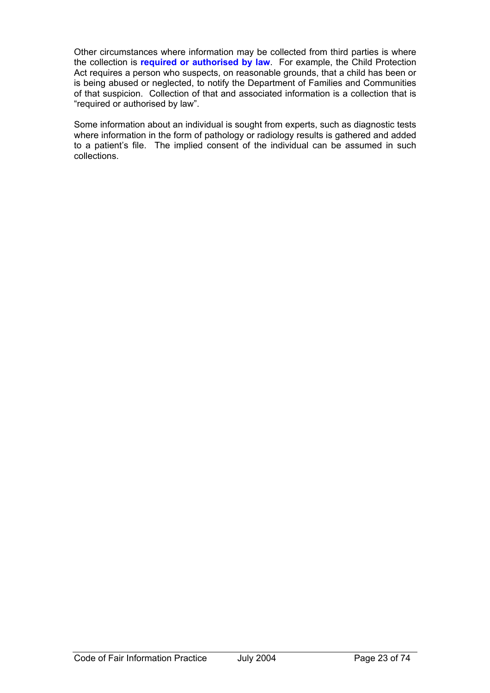Other circumstances where information may be collected from third parties is where the collection is **required or authorised by law**. For example, the Child Protection Act requires a person who suspects, on reasonable grounds, that a child has been or is being abused or neglected, to notify the Department of Families and Communities of that suspicion. Collection of that and associated information is a collection that is "required or authorised by law".

Some information about an individual is sought from experts, such as diagnostic tests where information in the form of pathology or radiology results is gathered and added to a patient's file. The implied consent of the individual can be assumed in such collections.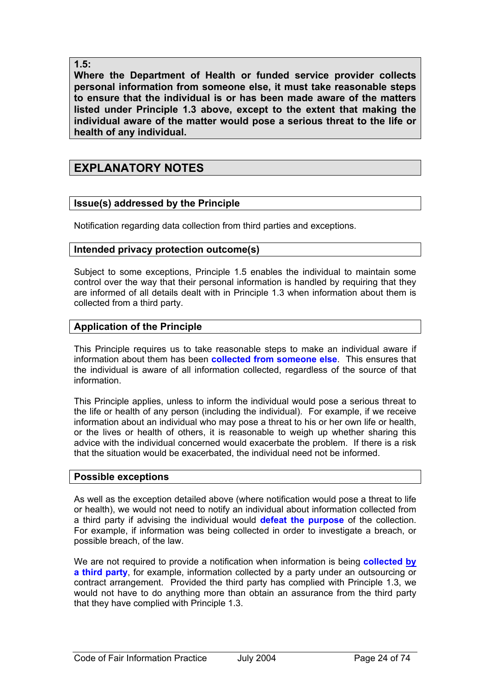#### **1.5:**

**Where the Department of Health or funded service provider collects personal information from someone else, it must take reasonable steps to ensure that the individual is or has been made aware of the matters listed under Principle 1.3 above, except to the extent that making the individual aware of the matter would pose a serious threat to the life or health of any individual.** 

## **EXPLANATORY NOTES**

#### **Issue(s) addressed by the Principle**

Notification regarding data collection from third parties and exceptions.

#### **Intended privacy protection outcome(s)**

Subject to some exceptions, Principle 1.5 enables the individual to maintain some control over the way that their personal information is handled by requiring that they are informed of all details dealt with in Principle 1.3 when information about them is collected from a third party.

#### **Application of the Principle**

This Principle requires us to take reasonable steps to make an individual aware if information about them has been **collected from someone else**. This ensures that the individual is aware of all information collected, regardless of the source of that information.

This Principle applies, unless to inform the individual would pose a serious threat to the life or health of any person (including the individual). For example, if we receive information about an individual who may pose a threat to his or her own life or health, or the lives or health of others, it is reasonable to weigh up whether sharing this advice with the individual concerned would exacerbate the problem. If there is a risk that the situation would be exacerbated, the individual need not be informed.

#### **Possible exceptions**

As well as the exception detailed above (where notification would pose a threat to life or health), we would not need to notify an individual about information collected from a third party if advising the individual would **defeat the purpose** of the collection. For example, if information was being collected in order to investigate a breach, or possible breach, of the law.

We are not required to provide a notification when information is being **collected by a third party**, for example, information collected by a party under an outsourcing or contract arrangement. Provided the third party has complied with Principle 1.3, we would not have to do anything more than obtain an assurance from the third party that they have complied with Principle 1.3.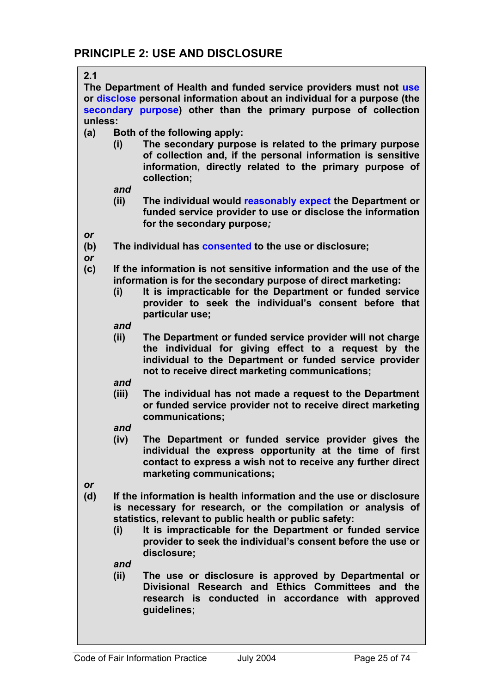**2.1** 

**The Department of Health and funded service providers must not use or disclose personal information about an individual for a purpose (the secondary purpose) other than the primary purpose of collection unless:** 

- **(a) Both of the following apply:** 
	- **(i) The secondary purpose is related to the primary purpose of collection and, if the personal information is sensitive information, directly related to the primary purpose of collection;**

*and* 

- **(ii) The individual would reasonably expect the Department or funded service provider to use or disclose the information for the secondary purpose***;*
- *or*
- **(b) The individual has consented to the use or disclosure;**
- *or*
- **(c) If the information is not sensitive information and the use of the information is for the secondary purpose of direct marketing:** 
	- **(i) It is impracticable for the Department or funded service provider to seek the individual's consent before that particular use;**

*and* 

- **(ii) The Department or funded service provider will not charge the individual for giving effect to a request by the individual to the Department or funded service provider not to receive direct marketing communications;**
- *and*
- **(iii) The individual has not made a request to the Department or funded service provider not to receive direct marketing communications;**
- *and*
- **(iv) The Department or funded service provider gives the individual the express opportunity at the time of first contact to express a wish not to receive any further direct marketing communications;**
- *or*
- **(d) If the information is health information and the use or disclosure is necessary for research, or the compilation or analysis of statistics, relevant to public health or public safety:** 
	- **(i) It is impracticable for the Department or funded service provider to seek the individual's consent before the use or disclosure;**

*and* 

**(ii) The use or disclosure is approved by Departmental or Divisional Research and Ethics Committees and the research is conducted in accordance with approved guidelines;**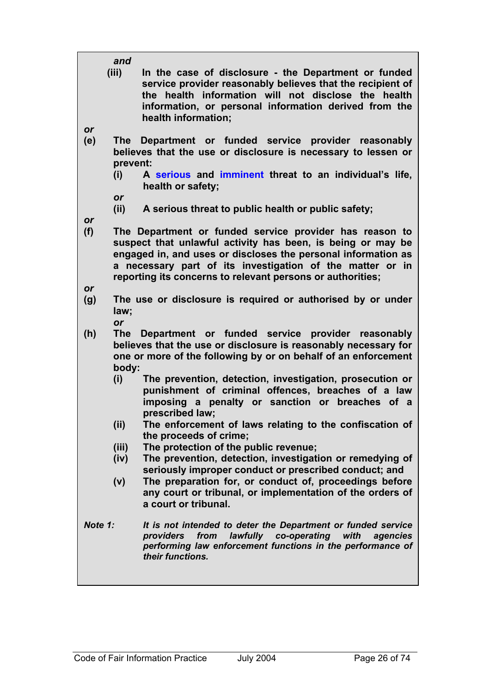|           | and                 |                                                                                                                                                                                                                                                                                                                    |
|-----------|---------------------|--------------------------------------------------------------------------------------------------------------------------------------------------------------------------------------------------------------------------------------------------------------------------------------------------------------------|
| or        | (iii)               | In the case of disclosure - the Department or funded<br>service provider reasonably believes that the recipient of<br>the health information will not disclose the health<br>information, or personal information derived from the<br>health information;                                                          |
| (e)       | <b>The</b>          | Department or funded service provider reasonably                                                                                                                                                                                                                                                                   |
|           | prevent:            | believes that the use or disclosure is necessary to lessen or                                                                                                                                                                                                                                                      |
|           | (i)                 | A serious and imminent threat to an individual's life,<br>health or safety;                                                                                                                                                                                                                                        |
|           | or                  |                                                                                                                                                                                                                                                                                                                    |
|           | (ii)                | A serious threat to public health or public safety;                                                                                                                                                                                                                                                                |
| <b>or</b> |                     |                                                                                                                                                                                                                                                                                                                    |
| (f)       |                     | The Department or funded service provider has reason to<br>suspect that unlawful activity has been, is being or may be<br>engaged in, and uses or discloses the personal information as<br>a necessary part of its investigation of the matter or in<br>reporting its concerns to relevant persons or authorities; |
| or        |                     |                                                                                                                                                                                                                                                                                                                    |
| (g)       | law;<br>or          | The use or disclosure is required or authorised by or under                                                                                                                                                                                                                                                        |
| (h)       | <b>The</b><br>body: | Department or funded service provider reasonably<br>believes that the use or disclosure is reasonably necessary for<br>one or more of the following by or on behalf of an enforcement                                                                                                                              |
|           | (i)                 | The prevention, detection, investigation, prosecution or<br>punishment of criminal offences, breaches of a law<br>imposing a penalty or sanction or breaches of a<br>prescribed law;                                                                                                                               |
|           | (i)                 | The enforcement of laws relating to the confiscation of<br>the proceeds of crime;                                                                                                                                                                                                                                  |
|           | (iii)               | The protection of the public revenue;                                                                                                                                                                                                                                                                              |
|           | (iv)                | The prevention, detection, investigation or remedying of                                                                                                                                                                                                                                                           |
|           |                     | seriously improper conduct or prescribed conduct; and                                                                                                                                                                                                                                                              |
|           | (v)                 | The preparation for, or conduct of, proceedings before                                                                                                                                                                                                                                                             |
|           |                     | any court or tribunal, or implementation of the orders of<br>a court or tribunal.                                                                                                                                                                                                                                  |
| Note 1:   |                     | It is not intended to deter the Department or funded service<br>lawfully co-operating<br>providers<br>from<br>with<br>agencies<br>performing law enforcement functions in the performance of<br>their functions.                                                                                                   |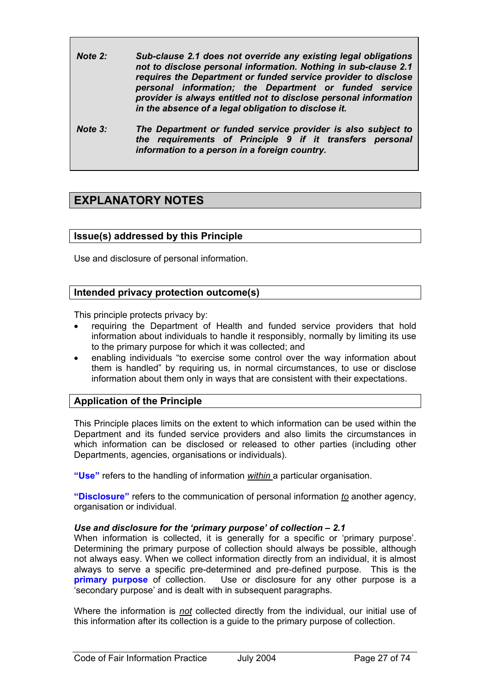- *Note 2: Sub-clause 2.1 does not override any existing legal obligations not to disclose personal information. Nothing in sub-clause 2.1 requires the Department or funded service provider to disclose personal information; the Department or funded service provider is always entitled not to disclose personal information in the absence of a legal obligation to disclose it.*
- *Note 3: The Department or funded service provider is also subject to the requirements of Principle 9 if it transfers personal information to a person in a foreign country.*

## **EXPLANATORY NOTES**

#### **Issue(s) addressed by this Principle**

Use and disclosure of personal information.

#### **Intended privacy protection outcome(s)**

This principle protects privacy by:

- requiring the Department of Health and funded service providers that hold information about individuals to handle it responsibly, normally by limiting its use to the primary purpose for which it was collected; and
- enabling individuals "to exercise some control over the way information about them is handled" by requiring us, in normal circumstances, to use or disclose information about them only in ways that are consistent with their expectations.

#### **Application of the Principle**

This Principle places limits on the extent to which information can be used within the Department and its funded service providers and also limits the circumstances in which information can be disclosed or released to other parties (including other Departments, agencies, organisations or individuals).

**"Use"** refers to the handling of information *within* a particular organisation.

**"Disclosure"** refers to the communication of personal information *to* another agency, organisation or individual.

#### *Use and disclosure for the 'primary purpose' of collection – 2.1*

When information is collected, it is generally for a specific or 'primary purpose'. Determining the primary purpose of collection should always be possible, although not always easy. When we collect information directly from an individual, it is almost always to serve a specific pre-determined and pre-defined purpose. This is the **primary purpose** of collection. Use or disclosure for any other purpose is a 'secondary purpose' and is dealt with in subsequent paragraphs.

Where the information is *not* collected directly from the individual, our initial use of this information after its collection is a guide to the primary purpose of collection.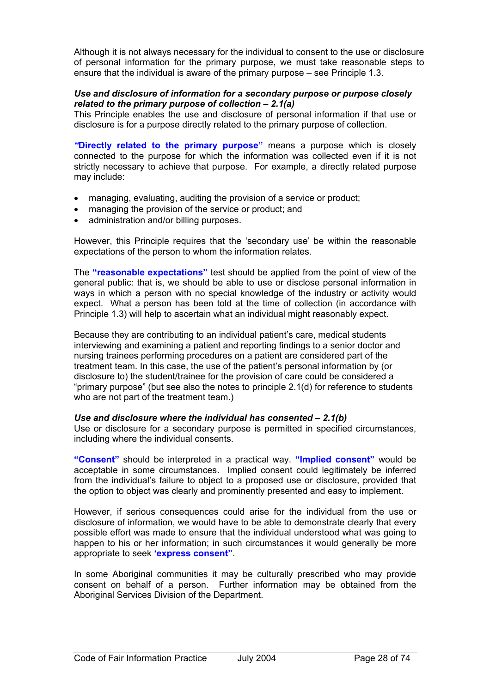Although it is not always necessary for the individual to consent to the use or disclosure of personal information for the primary purpose, we must take reasonable steps to ensure that the individual is aware of the primary purpose – see Principle 1.3.

#### *Use and disclosure of information for a secondary purpose or purpose closely related to the primary purpose of collection – 2.1(a)*

This Principle enables the use and disclosure of personal information if that use or disclosure is for a purpose directly related to the primary purpose of collection.

*"***Directly related to the primary purpose"** means a purpose which is closely connected to the purpose for which the information was collected even if it is not strictly necessary to achieve that purpose. For example, a directly related purpose may include:

- managing, evaluating, auditing the provision of a service or product;
- managing the provision of the service or product; and
- administration and/or billing purposes.

However, this Principle requires that the 'secondary use' be within the reasonable expectations of the person to whom the information relates.

The **"reasonable expectations"** test should be applied from the point of view of the general public: that is, we should be able to use or disclose personal information in ways in which a person with no special knowledge of the industry or activity would expect. What a person has been told at the time of collection (in accordance with Principle 1.3) will help to ascertain what an individual might reasonably expect.

Because they are contributing to an individual patient's care, medical students interviewing and examining a patient and reporting findings to a senior doctor and nursing trainees performing procedures on a patient are considered part of the treatment team. In this case, the use of the patient's personal information by (or disclosure to) the student/trainee for the provision of care could be considered a "primary purpose" (but see also the notes to principle 2.1(d) for reference to students who are not part of the treatment team.)

#### *Use and disclosure where the individual has consented – 2.1(b)*

Use or disclosure for a secondary purpose is permitted in specified circumstances, including where the individual consents.

**"Consent"** should be interpreted in a practical way. **"Implied consent"** would be acceptable in some circumstances. Implied consent could legitimately be inferred from the individual's failure to object to a proposed use or disclosure, provided that the option to object was clearly and prominently presented and easy to implement.

However, if serious consequences could arise for the individual from the use or disclosure of information, we would have to be able to demonstrate clearly that every possible effort was made to ensure that the individual understood what was going to happen to his or her information; in such circumstances it would generally be more appropriate to seek **'express consent"**.

In some Aboriginal communities it may be culturally prescribed who may provide consent on behalf of a person. Further information may be obtained from the Aboriginal Services Division of the Department.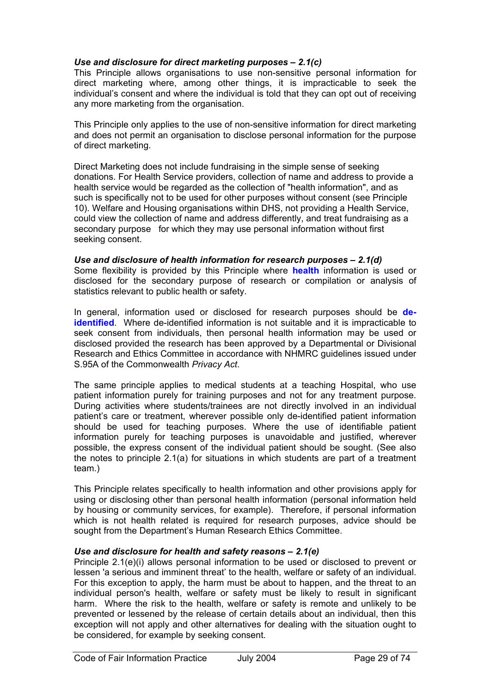#### *Use and disclosure for direct marketing purposes – 2.1(c)*

This Principle allows organisations to use non-sensitive personal information for direct marketing where, among other things, it is impracticable to seek the individual's consent and where the individual is told that they can opt out of receiving any more marketing from the organisation.

This Principle only applies to the use of non-sensitive information for direct marketing and does not permit an organisation to disclose personal information for the purpose of direct marketing.

Direct Marketing does not include fundraising in the simple sense of seeking donations. For Health Service providers, collection of name and address to provide a health service would be regarded as the collection of "health information", and as such is specifically not to be used for other purposes without consent (see Principle 10). Welfare and Housing organisations within DHS, not providing a Health Service, could view the collection of name and address differently, and treat fundraising as a secondary purpose for which they may use personal information without first seeking consent.

#### *Use and disclosure of health information for research purposes – 2.1(d)*

Some flexibility is provided by this Principle where **health** information is used or disclosed for the secondary purpose of research or compilation or analysis of statistics relevant to public health or safety.

In general, information used or disclosed for research purposes should be **deidentified**. Where de-identified information is not suitable and it is impracticable to seek consent from individuals, then personal health information may be used or disclosed provided the research has been approved by a Departmental or Divisional Research and Ethics Committee in accordance with NHMRC guidelines issued under S.95A of the Commonwealth *Privacy Act*.

The same principle applies to medical students at a teaching Hospital, who use patient information purely for training purposes and not for any treatment purpose. During activities where students/trainees are not directly involved in an individual patient's care or treatment, wherever possible only de-identified patient information should be used for teaching purposes. Where the use of identifiable patient information purely for teaching purposes is unavoidable and justified, wherever possible, the express consent of the individual patient should be sought. (See also the notes to principle 2.1(a) for situations in which students are part of a treatment team.)

This Principle relates specifically to health information and other provisions apply for using or disclosing other than personal health information (personal information held by housing or community services, for example). Therefore, if personal information which is not health related is required for research purposes, advice should be sought from the Department's Human Research Ethics Committee.

#### *Use and disclosure for health and safety reasons – 2.1(e)*

Principle 2.1(e)(i) allows personal information to be used or disclosed to prevent or lessen 'a serious and imminent threat' to the health, welfare or safety of an individual. For this exception to apply, the harm must be about to happen, and the threat to an individual person's health, welfare or safety must be likely to result in significant harm. Where the risk to the health, welfare or safety is remote and unlikely to be prevented or lessened by the release of certain details about an individual, then this exception will not apply and other alternatives for dealing with the situation ought to be considered, for example by seeking consent.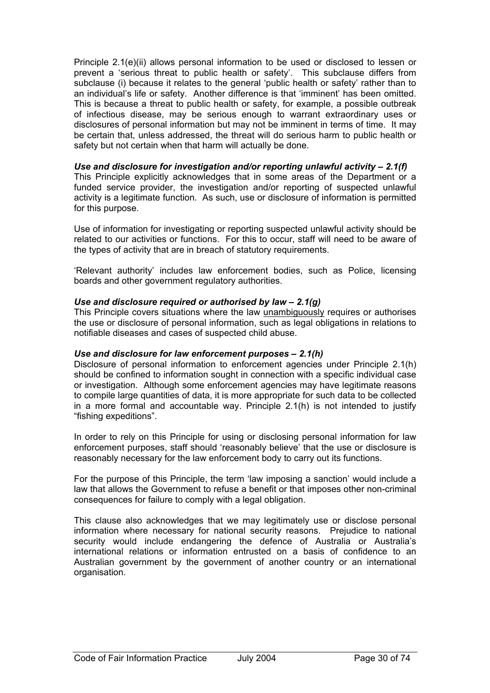Principle 2.1(e)(ii) allows personal information to be used or disclosed to lessen or prevent a 'serious threat to public health or safety'. This subclause differs from subclause (i) because it relates to the general 'public health or safety' rather than to an individual's life or safety. Another difference is that 'imminent' has been omitted. This is because a threat to public health or safety, for example, a possible outbreak of infectious disease, may be serious enough to warrant extraordinary uses or disclosures of personal information but may not be imminent in terms of time. It may be certain that, unless addressed, the threat will do serious harm to public health or safety but not certain when that harm will actually be done.

*Use and disclosure for investigation and/or reporting unlawful activity – 2.1(f)*  This Principle explicitly acknowledges that in some areas of the Department or a funded service provider, the investigation and/or reporting of suspected unlawful activity is a legitimate function. As such, use or disclosure of information is permitted for this purpose.

Use of information for investigating or reporting suspected unlawful activity should be related to our activities or functions. For this to occur, staff will need to be aware of the types of activity that are in breach of statutory requirements.

'Relevant authority' includes law enforcement bodies, such as Police, licensing boards and other government regulatory authorities.

#### *Use and disclosure required or authorised by law – 2.1(g)*

This Principle covers situations where the law unambiguously requires or authorises the use or disclosure of personal information, such as legal obligations in relations to notifiable diseases and cases of suspected child abuse.

#### *Use and disclosure for law enforcement purposes – 2.1(h)*

Disclosure of personal information to enforcement agencies under Principle 2.1(h) should be confined to information sought in connection with a specific individual case or investigation. Although some enforcement agencies may have legitimate reasons to compile large quantities of data, it is more appropriate for such data to be collected in a more formal and accountable way. Principle 2.1(h) is not intended to justify "fishing expeditions".

In order to rely on this Principle for using or disclosing personal information for law enforcement purposes, staff should 'reasonably believe' that the use or disclosure is reasonably necessary for the law enforcement body to carry out its functions.

For the purpose of this Principle, the term 'law imposing a sanction' would include a law that allows the Government to refuse a benefit or that imposes other non-criminal consequences for failure to comply with a legal obligation.

This clause also acknowledges that we may legitimately use or disclose personal information where necessary for national security reasons. Prejudice to national security would include endangering the defence of Australia or Australia's international relations or information entrusted on a basis of confidence to an Australian government by the government of another country or an international organisation.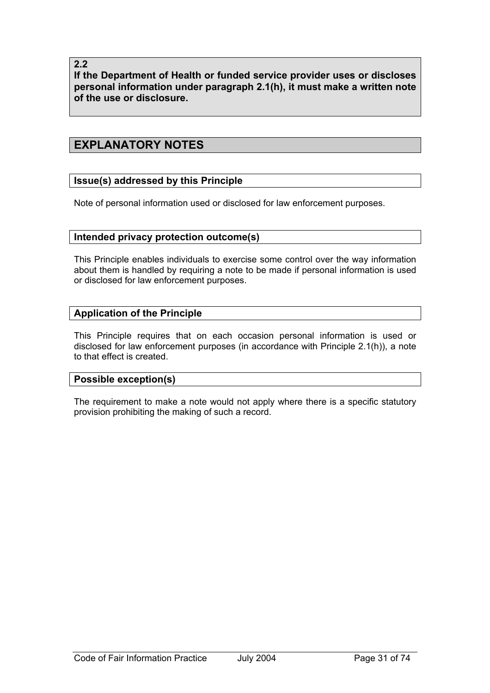**2.2** 

**If the Department of Health or funded service provider uses or discloses personal information under paragraph 2.1(h), it must make a written note of the use or disclosure.** 

## **EXPLANATORY NOTES**

## **Issue(s) addressed by this Principle**

Note of personal information used or disclosed for law enforcement purposes.

#### **Intended privacy protection outcome(s)**

This Principle enables individuals to exercise some control over the way information about them is handled by requiring a note to be made if personal information is used or disclosed for law enforcement purposes.

#### **Application of the Principle**

This Principle requires that on each occasion personal information is used or disclosed for law enforcement purposes (in accordance with Principle 2.1(h)), a note to that effect is created.

#### **Possible exception(s)**

The requirement to make a note would not apply where there is a specific statutory provision prohibiting the making of such a record.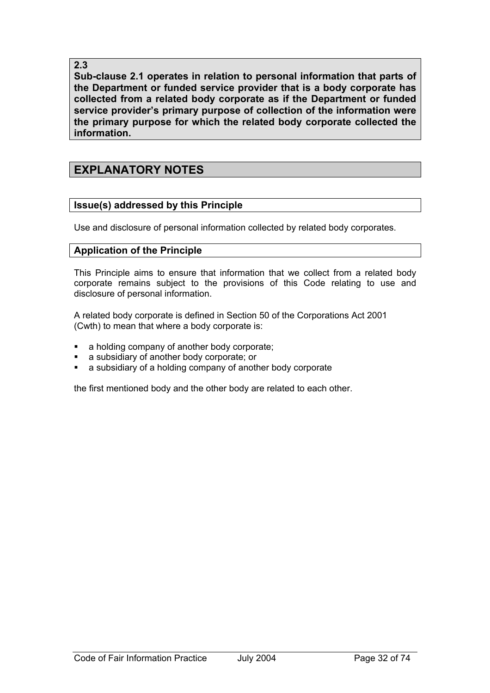## **2.3**

**Sub-clause 2.1 operates in relation to personal information that parts of the Department or funded service provider that is a body corporate has collected from a related body corporate as if the Department or funded service provider's primary purpose of collection of the information were the primary purpose for which the related body corporate collected the information.** 

# **EXPLANATORY NOTES**

## **Issue(s) addressed by this Principle**

Use and disclosure of personal information collected by related body corporates.

## **Application of the Principle**

This Principle aims to ensure that information that we collect from a related body corporate remains subject to the provisions of this Code relating to use and disclosure of personal information.

A related body corporate is defined in Section 50 of the Corporations Act 2001 (Cwth) to mean that where a body corporate is:

- a holding company of another body corporate;
- a subsidiary of another body corporate; or
- a subsidiary of a holding company of another body corporate

the first mentioned body and the other body are related to each other.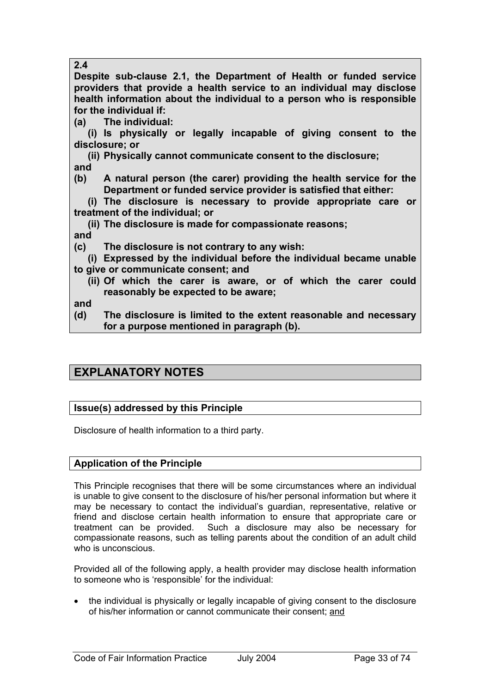## **2.4**

**Despite sub-clause 2.1, the Department of Health or funded service providers that provide a health service to an individual may disclose health information about the individual to a person who is responsible for the individual if:** 

**(a) The individual:** 

 **(i) Is physically or legally incapable of giving consent to the disclosure; or** 

- **(ii) Physically cannot communicate consent to the disclosure; and**
- **(b) A natural person (the carer) providing the health service for the Department or funded service provider is satisfied that either:**

 **(i) The disclosure is necessary to provide appropriate care or treatment of the individual; or** 

 **(ii) The disclosure is made for compassionate reasons;** 

**and** 

**(c) The disclosure is not contrary to any wish:** 

 **(i) Expressed by the individual before the individual became unable to give or communicate consent; and** 

 **(ii) Of which the carer is aware, or of which the carer could reasonably be expected to be aware;** 

**and** 

**(d) The disclosure is limited to the extent reasonable and necessary for a purpose mentioned in paragraph (b).** 

# **EXPLANATORY NOTES**

## **Issue(s) addressed by this Principle**

Disclosure of health information to a third party.

## **Application of the Principle**

This Principle recognises that there will be some circumstances where an individual is unable to give consent to the disclosure of his/her personal information but where it may be necessary to contact the individual's guardian, representative, relative or friend and disclose certain health information to ensure that appropriate care or treatment can be provided. Such a disclosure may also be necessary for compassionate reasons, such as telling parents about the condition of an adult child who is unconscious.

Provided all of the following apply, a health provider may disclose health information to someone who is 'responsible' for the individual:

• the individual is physically or legally incapable of giving consent to the disclosure of his/her information or cannot communicate their consent; and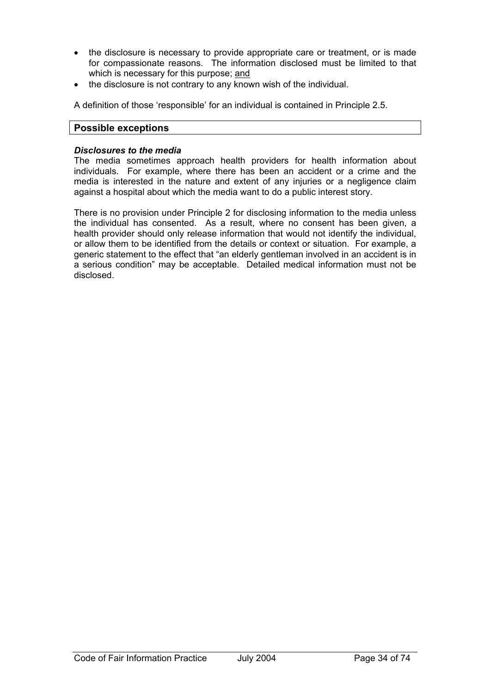- the disclosure is necessary to provide appropriate care or treatment, or is made for compassionate reasons. The information disclosed must be limited to that which is necessary for this purpose; and
- the disclosure is not contrary to any known wish of the individual.

A definition of those 'responsible' for an individual is contained in Principle 2.5.

### **Possible exceptions**

#### *Disclosures to the media*

The media sometimes approach health providers for health information about individuals. For example, where there has been an accident or a crime and the media is interested in the nature and extent of any injuries or a negligence claim against a hospital about which the media want to do a public interest story.

There is no provision under Principle 2 for disclosing information to the media unless the individual has consented. As a result, where no consent has been given, a health provider should only release information that would not identify the individual, or allow them to be identified from the details or context or situation. For example, a generic statement to the effect that "an elderly gentleman involved in an accident is in a serious condition" may be acceptable. Detailed medical information must not be disclosed.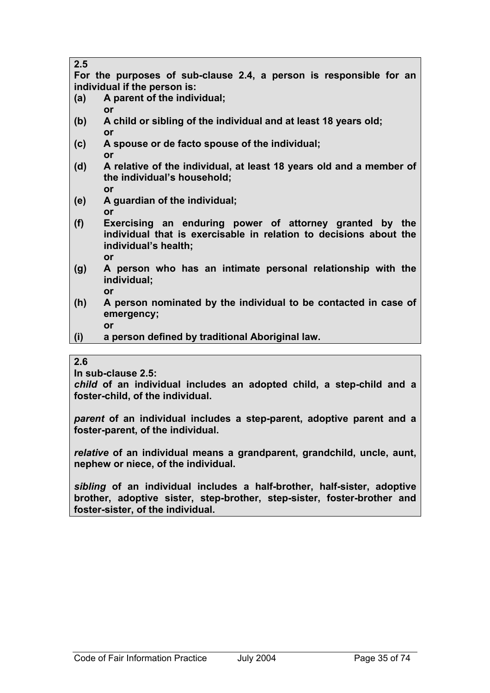| 2.J                          |  |                                    |  |  |  |  |  |  |                                                                    |  |
|------------------------------|--|------------------------------------|--|--|--|--|--|--|--------------------------------------------------------------------|--|
|                              |  |                                    |  |  |  |  |  |  | For the purposes of sub-clause 2.4, a person is responsible for an |  |
| individual if the person is: |  |                                    |  |  |  |  |  |  |                                                                    |  |
| (a)                          |  | $\Delta$ narent of the individual: |  |  |  |  |  |  |                                                                    |  |

- **(a) A parent of the individual; or**
- **(b) A child or sibling of the individual and at least 18 years old; or**
- **(c) A spouse or de facto spouse of the individual; or**
- **(d) A relative of the individual, at least 18 years old and a member of the individual's household; or**
- **(e) A guardian of the individual; or**
- **(f) Exercising an enduring power of attorney granted by the individual that is exercisable in relation to decisions about the individual's health; or**
- **(g) A person who has an intimate personal relationship with the individual; or**
- **(h) A person nominated by the individual to be contacted in case of emergency;** 
	- **or**

**(i) a person defined by traditional Aboriginal law.** 

## **2.6**

 $\overline{2}$ 

**In sub-clause 2.5:** 

*child* **of an individual includes an adopted child, a step-child and a foster-child, of the individual.** 

*parent* **of an individual includes a step-parent, adoptive parent and a foster-parent, of the individual.** 

*relative* **of an individual means a grandparent, grandchild, uncle, aunt, nephew or niece, of the individual.** 

*sibling* **of an individual includes a half-brother, half-sister, adoptive brother, adoptive sister, step-brother, step-sister, foster-brother and foster-sister, of the individual.**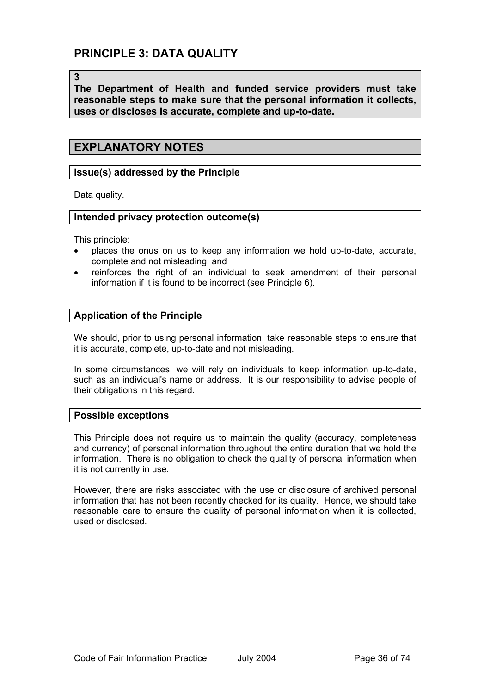# **PRINCIPLE 3: DATA QUALITY**

**3** 

**The Department of Health and funded service providers must take reasonable steps to make sure that the personal information it collects, uses or discloses is accurate, complete and up-to-date.** 

## **EXPLANATORY NOTES**

### **Issue(s) addressed by the Principle**

Data quality.

#### **Intended privacy protection outcome(s)**

This principle:

- places the onus on us to keep any information we hold up-to-date, accurate, complete and not misleading; and
- reinforces the right of an individual to seek amendment of their personal information if it is found to be incorrect (see Principle 6).

## **Application of the Principle**

We should, prior to using personal information, take reasonable steps to ensure that it is accurate, complete, up-to-date and not misleading.

In some circumstances, we will rely on individuals to keep information up-to-date, such as an individual's name or address. It is our responsibility to advise people of their obligations in this regard.

#### **Possible exceptions**

This Principle does not require us to maintain the quality (accuracy, completeness and currency) of personal information throughout the entire duration that we hold the information. There is no obligation to check the quality of personal information when it is not currently in use.

However, there are risks associated with the use or disclosure of archived personal information that has not been recently checked for its quality. Hence, we should take reasonable care to ensure the quality of personal information when it is collected, used or disclosed.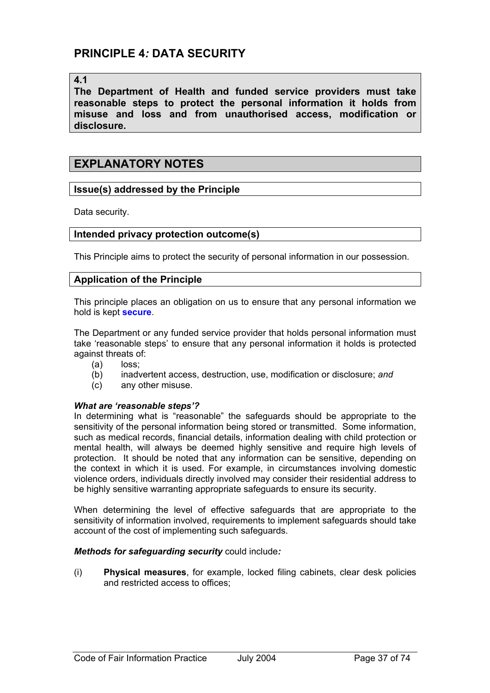# **PRINCIPLE 4***:* **DATA SECURITY**

### **4.1**

**The Department of Health and funded service providers must take reasonable steps to protect the personal information it holds from misuse and loss and from unauthorised access, modification or disclosure.**

## **EXPLANATORY NOTES**

## **Issue(s) addressed by the Principle**

Data security.

### **Intended privacy protection outcome(s)**

This Principle aims to protect the security of personal information in our possession.

## **Application of the Principle**

This principle places an obligation on us to ensure that any personal information we hold is kept **secure**.

The Department or any funded service provider that holds personal information must take 'reasonable steps' to ensure that any personal information it holds is protected against threats of:

- (a) loss;
- (b) inadvertent access, destruction, use, modification or disclosure; *and*
- (c) any other misuse.

#### *What are 'reasonable steps'?*

In determining what is "reasonable" the safeguards should be appropriate to the sensitivity of the personal information being stored or transmitted. Some information, such as medical records, financial details, information dealing with child protection or mental health, will always be deemed highly sensitive and require high levels of protection. It should be noted that any information can be sensitive, depending on the context in which it is used. For example, in circumstances involving domestic violence orders, individuals directly involved may consider their residential address to be highly sensitive warranting appropriate safeguards to ensure its security.

When determining the level of effective safeguards that are appropriate to the sensitivity of information involved, requirements to implement safeguards should take account of the cost of implementing such safeguards.

#### *Methods for safeguarding security* could include*:*

(i) **Physical measures**, for example, locked filing cabinets, clear desk policies and restricted access to offices;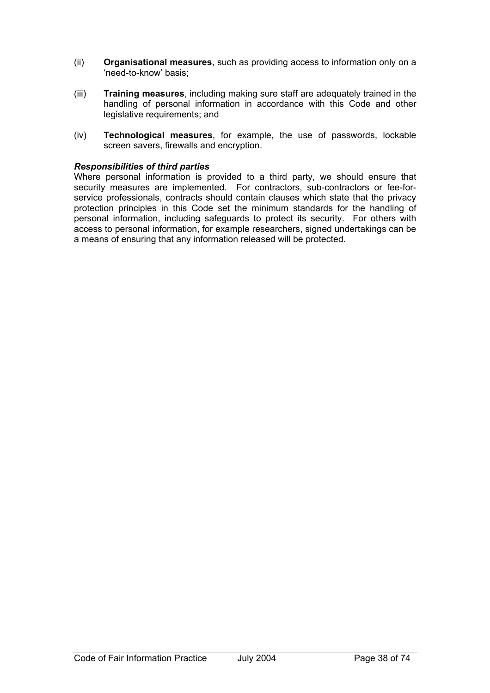- (ii) **Organisational measures**, such as providing access to information only on a 'need-to-know' basis;
- (iii) **Training measures**, including making sure staff are adequately trained in the handling of personal information in accordance with this Code and other legislative requirements; and
- (iv) **Technological measures**, for example, the use of passwords, lockable screen savers, firewalls and encryption.

#### *Responsibilities of third parties*

Where personal information is provided to a third party, we should ensure that security measures are implemented. For contractors, sub-contractors or fee-forservice professionals, contracts should contain clauses which state that the privacy protection principles in this Code set the minimum standards for the handling of personal information, including safeguards to protect its security. For others with access to personal information, for example researchers, signed undertakings can be a means of ensuring that any information released will be protected.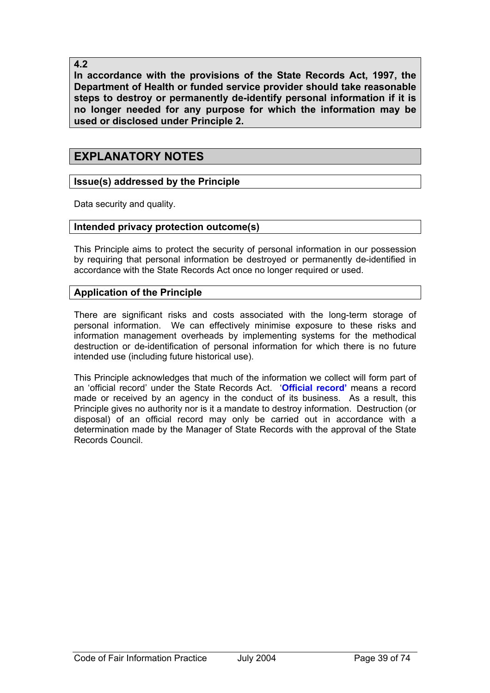**4.2** 

**In accordance with the provisions of the State Records Act, 1997, the Department of Health or funded service provider should take reasonable steps to destroy or permanently de-identify personal information if it is no longer needed for any purpose for which the information may be used or disclosed under Principle 2.** 

# **EXPLANATORY NOTES**

## **Issue(s) addressed by the Principle**

Data security and quality.

## **Intended privacy protection outcome(s)**

This Principle aims to protect the security of personal information in our possession by requiring that personal information be destroyed or permanently de-identified in accordance with the State Records Act once no longer required or used.

## **Application of the Principle**

There are significant risks and costs associated with the long-term storage of personal information. We can effectively minimise exposure to these risks and information management overheads by implementing systems for the methodical destruction or de-identification of personal information for which there is no future intended use (including future historical use).

This Principle acknowledges that much of the information we collect will form part of an 'official record' under the State Records Act. '**Official record'** means a record made or received by an agency in the conduct of its business. As a result, this Principle gives no authority nor is it a mandate to destroy information. Destruction (or disposal) of an official record may only be carried out in accordance with a determination made by the Manager of State Records with the approval of the State Records Council.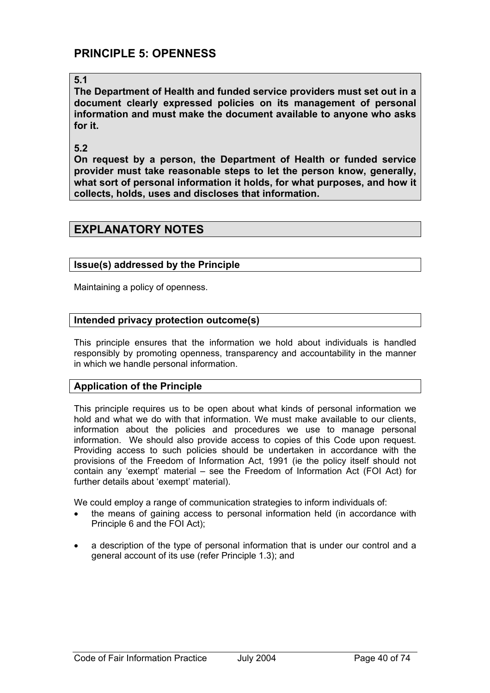# **PRINCIPLE 5: OPENNESS**

## **5.1**

**The Department of Health and funded service providers must set out in a document clearly expressed policies on its management of personal information and must make the document available to anyone who asks for it.** 

### **5.2**

**On request by a person, the Department of Health or funded service provider must take reasonable steps to let the person know, generally, what sort of personal information it holds, for what purposes, and how it collects, holds, uses and discloses that information.** 

## **EXPLANATORY NOTES**

## **Issue(s) addressed by the Principle**

Maintaining a policy of openness.

### **Intended privacy protection outcome(s)**

This principle ensures that the information we hold about individuals is handled responsibly by promoting openness, transparency and accountability in the manner in which we handle personal information.

## **Application of the Principle**

This principle requires us to be open about what kinds of personal information we hold and what we do with that information. We must make available to our clients, information about the policies and procedures we use to manage personal information. We should also provide access to copies of this Code upon request. Providing access to such policies should be undertaken in accordance with the provisions of the Freedom of Information Act, 1991 (ie the policy itself should not contain any 'exempt' material – see the Freedom of Information Act (FOI Act) for further details about 'exempt' material).

We could employ a range of communication strategies to inform individuals of:

- the means of gaining access to personal information held (in accordance with Principle 6 and the FOI Act);
- a description of the type of personal information that is under our control and a general account of its use (refer Principle 1.3); and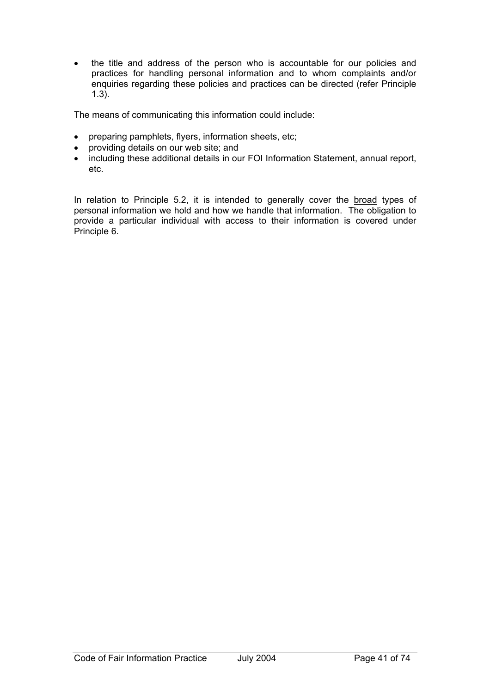• the title and address of the person who is accountable for our policies and practices for handling personal information and to whom complaints and/or enquiries regarding these policies and practices can be directed (refer Principle 1.3).

The means of communicating this information could include:

- preparing pamphlets, flyers, information sheets, etc;
- providing details on our web site; and
- including these additional details in our FOI Information Statement, annual report, etc.

In relation to Principle 5.2, it is intended to generally cover the broad types of personal information we hold and how we handle that information. The obligation to provide a particular individual with access to their information is covered under Principle 6.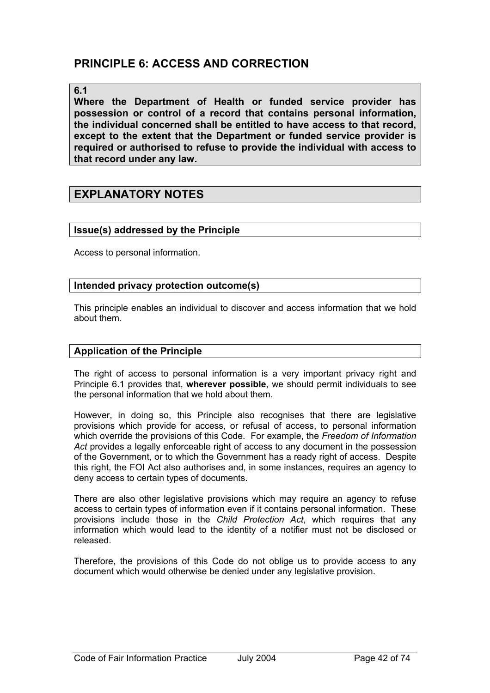# **PRINCIPLE 6: ACCESS AND CORRECTION**

#### **6.1**

**Where the Department of Health or funded service provider has possession or control of a record that contains personal information, the individual concerned shall be entitled to have access to that record, except to the extent that the Department or funded service provider is required or authorised to refuse to provide the individual with access to that record under any law.**

## **EXPLANATORY NOTES**

### **Issue(s) addressed by the Principle**

Access to personal information.

#### **Intended privacy protection outcome(s)**

This principle enables an individual to discover and access information that we hold about them.

### **Application of the Principle**

The right of access to personal information is a very important privacy right and Principle 6.1 provides that, **wherever possible**, we should permit individuals to see the personal information that we hold about them.

However, in doing so, this Principle also recognises that there are legislative provisions which provide for access, or refusal of access, to personal information which override the provisions of this Code. For example, the *Freedom of Information Act* provides a legally enforceable right of access to any document in the possession of the Government, or to which the Government has a ready right of access. Despite this right, the FOI Act also authorises and, in some instances, requires an agency to deny access to certain types of documents.

There are also other legislative provisions which may require an agency to refuse access to certain types of information even if it contains personal information. These provisions include those in the *Child Protection Act*, which requires that any information which would lead to the identity of a notifier must not be disclosed or released.

Therefore, the provisions of this Code do not oblige us to provide access to any document which would otherwise be denied under any legislative provision.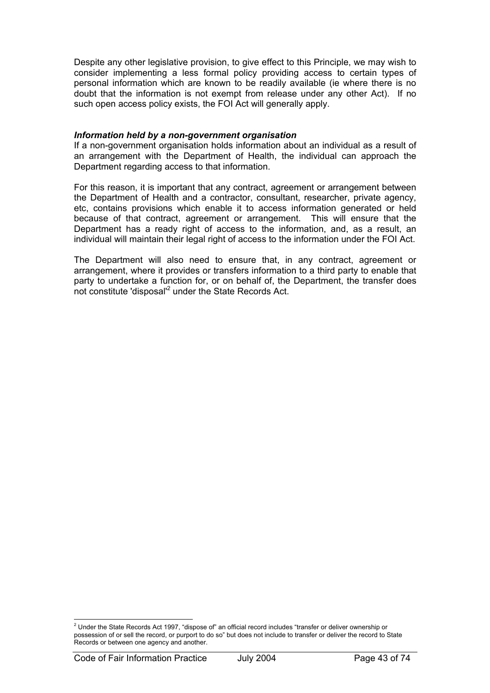Despite any other legislative provision, to give effect to this Principle, we may wish to consider implementing a less formal policy providing access to certain types of personal information which are known to be readily available (ie where there is no doubt that the information is not exempt from release under any other Act). If no such open access policy exists, the FOI Act will generally apply.

#### *Information held by a non-government organisation*

If a non-government organisation holds information about an individual as a result of an arrangement with the Department of Health, the individual can approach the Department regarding access to that information.

For this reason, it is important that any contract, agreement or arrangement between the Department of Health and a contractor, consultant, researcher, private agency, etc, contains provisions which enable it to access information generated or held because of that contract, agreement or arrangement. This will ensure that the Department has a ready right of access to the information, and, as a result, an individual will maintain their legal right of access to the information under the FOI Act.

The Department will also need to ensure that, in any contract, agreement or arrangement, where it provides or transfers information to a third party to enable that party to undertake a function for, or on behalf of, the Department, the transfer does not constitute 'disposal'<sup>2</sup> under the State Records Act.

 2 Under the State Records Act 1997, "dispose of" an official record includes "transfer or deliver ownership or possession of or sell the record, or purport to do so" but does not include to transfer or deliver the record to State Records or between one agency and another.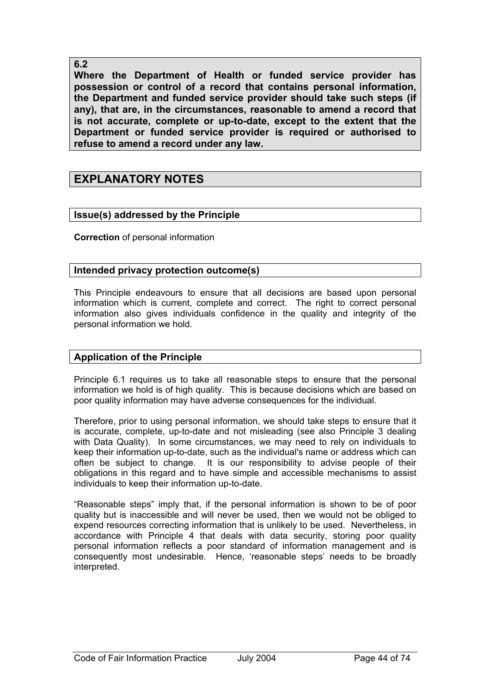## **6.2**

**Where the Department of Health or funded service provider has possession or control of a record that contains personal information, the Department and funded service provider should take such steps (if any), that are, in the circumstances, reasonable to amend a record that is not accurate, complete or up-to-date, except to the extent that the Department or funded service provider is required or authorised to refuse to amend a record under any law.** 

# **EXPLANATORY NOTES**

## **Issue(s) addressed by the Principle**

**Correction** of personal information

## **Intended privacy protection outcome(s)**

This Principle endeavours to ensure that all decisions are based upon personal information which is current, complete and correct. The right to correct personal information also gives individuals confidence in the quality and integrity of the personal information we hold.

## **Application of the Principle**

Principle 6.1 requires us to take all reasonable steps to ensure that the personal information we hold is of high quality. This is because decisions which are based on poor quality information may have adverse consequences for the individual.

Therefore, prior to using personal information, we should take steps to ensure that it is accurate, complete, up-to-date and not misleading (see also Principle 3 dealing with Data Quality). In some circumstances, we may need to rely on individuals to keep their information up-to-date, such as the individual's name or address which can often be subject to change. It is our responsibility to advise people of their obligations in this regard and to have simple and accessible mechanisms to assist individuals to keep their information up-to-date.

"Reasonable steps" imply that, if the personal information is shown to be of poor quality but is inaccessible and will never be used, then we would not be obliged to expend resources correcting information that is unlikely to be used. Nevertheless, in accordance with Principle 4 that deals with data security, storing poor quality personal information reflects a poor standard of information management and is consequently most undesirable. Hence, 'reasonable steps' needs to be broadly interpreted.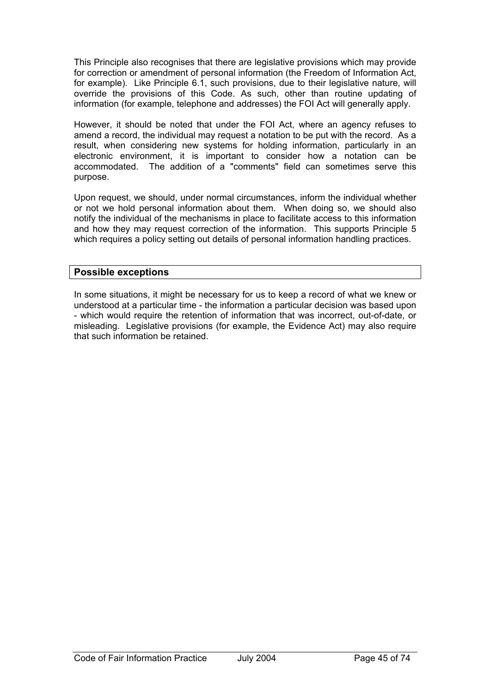This Principle also recognises that there are legislative provisions which may provide for correction or amendment of personal information (the Freedom of Information Act, for example). Like Principle 6.1, such provisions, due to their legislative nature, will override the provisions of this Code. As such, other than routine updating of information (for example, telephone and addresses) the FOI Act will generally apply.

However, it should be noted that under the FOI Act, where an agency refuses to amend a record, the individual may request a notation to be put with the record. As a result, when considering new systems for holding information, particularly in an electronic environment, it is important to consider how a notation can be accommodated. The addition of a "comments" field can sometimes serve this purpose.

Upon request, we should, under normal circumstances, inform the individual whether or not we hold personal information about them. When doing so, we should also notify the individual of the mechanisms in place to facilitate access to this information and how they may request correction of the information. This supports Principle 5 which requires a policy setting out details of personal information handling practices.

## **Possible exceptions**

In some situations, it might be necessary for us to keep a record of what we knew or understood at a particular time - the information a particular decision was based upon - which would require the retention of information that was incorrect, out-of-date, or misleading. Legislative provisions (for example, the Evidence Act) may also require that such information be retained.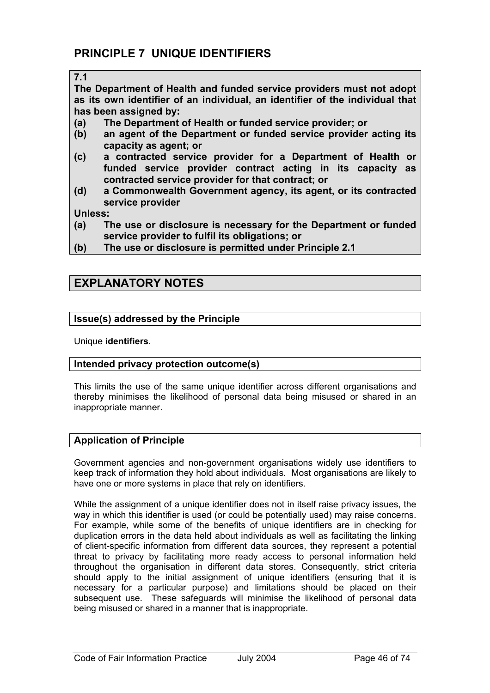### **7.1**

**The Department of Health and funded service providers must not adopt as its own identifier of an individual, an identifier of the individual that has been assigned by:** 

- **(a) The Department of Health or funded service provider; or**
- **(b) an agent of the Department or funded service provider acting its capacity as agent; or**
- **(c) a contracted service provider for a Department of Health or funded service provider contract acting in its capacity as contracted service provider for that contract; or**
- **(d) a Commonwealth Government agency, its agent, or its contracted service provider**

**Unless:** 

- **(a) The use or disclosure is necessary for the Department or funded service provider to fulfil its obligations; or**
- **(b) The use or disclosure is permitted under Principle 2.1**

# **EXPLANATORY NOTES**

## **Issue(s) addressed by the Principle**

Unique **identifiers**.

## **Intended privacy protection outcome(s)**

This limits the use of the same unique identifier across different organisations and thereby minimises the likelihood of personal data being misused or shared in an inappropriate manner.

## **Application of Principle**

Government agencies and non-government organisations widely use identifiers to keep track of information they hold about individuals. Most organisations are likely to have one or more systems in place that rely on identifiers.

While the assignment of a unique identifier does not in itself raise privacy issues, the way in which this identifier is used (or could be potentially used) may raise concerns. For example, while some of the benefits of unique identifiers are in checking for duplication errors in the data held about individuals as well as facilitating the linking of client-specific information from different data sources, they represent a potential threat to privacy by facilitating more ready access to personal information held throughout the organisation in different data stores. Consequently, strict criteria should apply to the initial assignment of unique identifiers (ensuring that it is necessary for a particular purpose) and limitations should be placed on their subsequent use. These safeguards will minimise the likelihood of personal data being misused or shared in a manner that is inappropriate.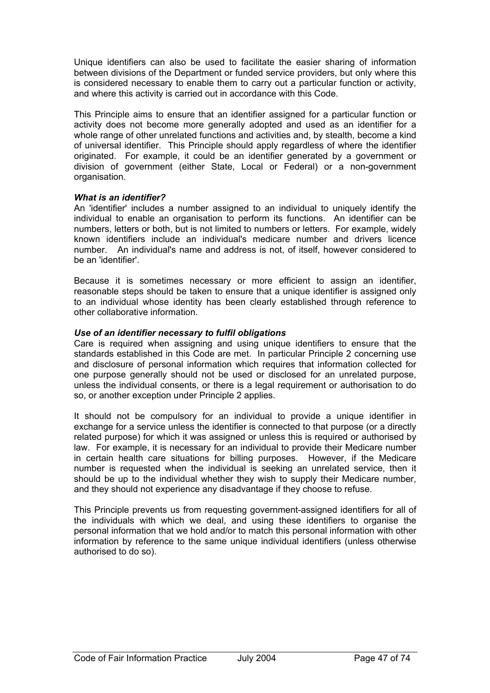Unique identifiers can also be used to facilitate the easier sharing of information between divisions of the Department or funded service providers, but only where this is considered necessary to enable them to carry out a particular function or activity, and where this activity is carried out in accordance with this Code.

This Principle aims to ensure that an identifier assigned for a particular function or activity does not become more generally adopted and used as an identifier for a whole range of other unrelated functions and activities and, by stealth, become a kind of universal identifier. This Principle should apply regardless of where the identifier originated. For example, it could be an identifier generated by a government or division of government (either State, Local or Federal) or a non-government organisation.

### *What is an identifier?*

An 'identifier' includes a number assigned to an individual to uniquely identify the individual to enable an organisation to perform its functions. An identifier can be numbers, letters or both, but is not limited to numbers or letters. For example, widely known identifiers include an individual's medicare number and drivers licence number. An individual's name and address is not, of itself, however considered to be an 'identifier'.

Because it is sometimes necessary or more efficient to assign an identifier, reasonable steps should be taken to ensure that a unique identifier is assigned only to an individual whose identity has been clearly established through reference to other collaborative information.

## *Use of an identifier necessary to fulfil obligations*

Care is required when assigning and using unique identifiers to ensure that the standards established in this Code are met. In particular Principle 2 concerning use and disclosure of personal information which requires that information collected for one purpose generally should not be used or disclosed for an unrelated purpose, unless the individual consents, or there is a legal requirement or authorisation to do so, or another exception under Principle 2 applies.

It should not be compulsory for an individual to provide a unique identifier in exchange for a service unless the identifier is connected to that purpose (or a directly related purpose) for which it was assigned or unless this is required or authorised by law. For example, it is necessary for an individual to provide their Medicare number in certain health care situations for billing purposes. However, if the Medicare number is requested when the individual is seeking an unrelated service, then it should be up to the individual whether they wish to supply their Medicare number, and they should not experience any disadvantage if they choose to refuse.

This Principle prevents us from requesting government-assigned identifiers for all of the individuals with which we deal, and using these identifiers to organise the personal information that we hold and/or to match this personal information with other information by reference to the same unique individual identifiers (unless otherwise authorised to do so).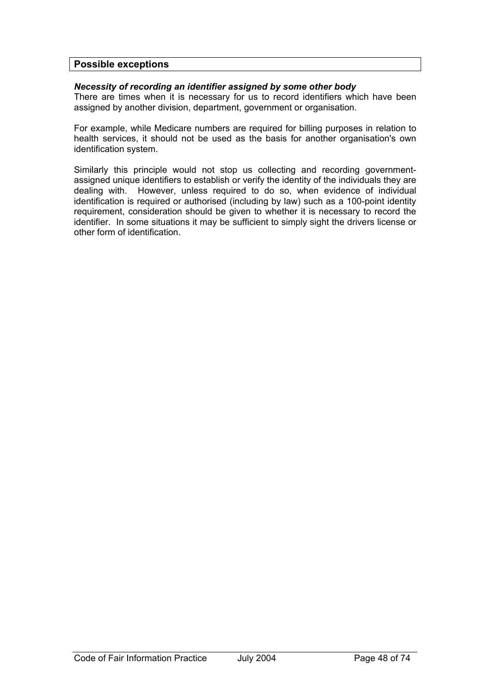### **Possible exceptions**

#### *Necessity of recording an identifier assigned by some other body*

There are times when it is necessary for us to record identifiers which have been assigned by another division, department, government or organisation.

For example, while Medicare numbers are required for billing purposes in relation to health services, it should not be used as the basis for another organisation's own identification system.

Similarly this principle would not stop us collecting and recording governmentassigned unique identifiers to establish or verify the identity of the individuals they are dealing with. However, unless required to do so, when evidence of individual identification is required or authorised (including by law) such as a 100-point identity requirement, consideration should be given to whether it is necessary to record the identifier. In some situations it may be sufficient to simply sight the drivers license or other form of identification.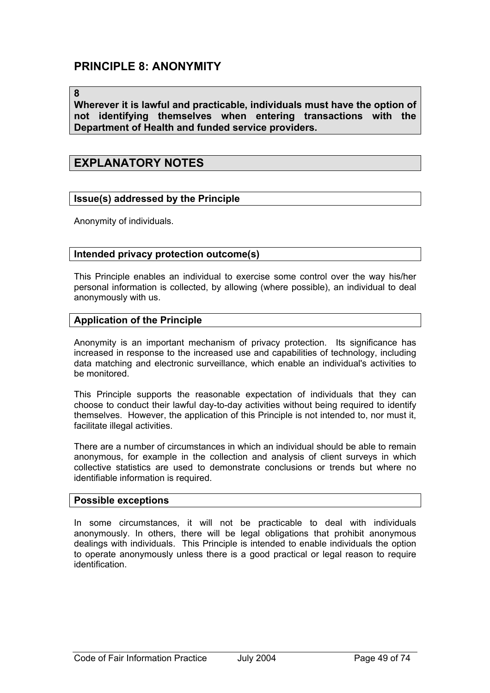# **PRINCIPLE 8: ANONYMITY**

#### **8**

**Wherever it is lawful and practicable, individuals must have the option of not identifying themselves when entering transactions with the Department of Health and funded service providers.** 

## **EXPLANATORY NOTES**

### **Issue(s) addressed by the Principle**

Anonymity of individuals.

#### **Intended privacy protection outcome(s)**

This Principle enables an individual to exercise some control over the way his/her personal information is collected, by allowing (where possible), an individual to deal anonymously with us.

### **Application of the Principle**

Anonymity is an important mechanism of privacy protection. Its significance has increased in response to the increased use and capabilities of technology, including data matching and electronic surveillance, which enable an individual's activities to be monitored.

This Principle supports the reasonable expectation of individuals that they can choose to conduct their lawful day-to-day activities without being required to identify themselves. However, the application of this Principle is not intended to, nor must it, facilitate illegal activities.

There are a number of circumstances in which an individual should be able to remain anonymous, for example in the collection and analysis of client surveys in which collective statistics are used to demonstrate conclusions or trends but where no identifiable information is required.

#### **Possible exceptions**

In some circumstances, it will not be practicable to deal with individuals anonymously. In others, there will be legal obligations that prohibit anonymous dealings with individuals. This Principle is intended to enable individuals the option to operate anonymously unless there is a good practical or legal reason to require identification.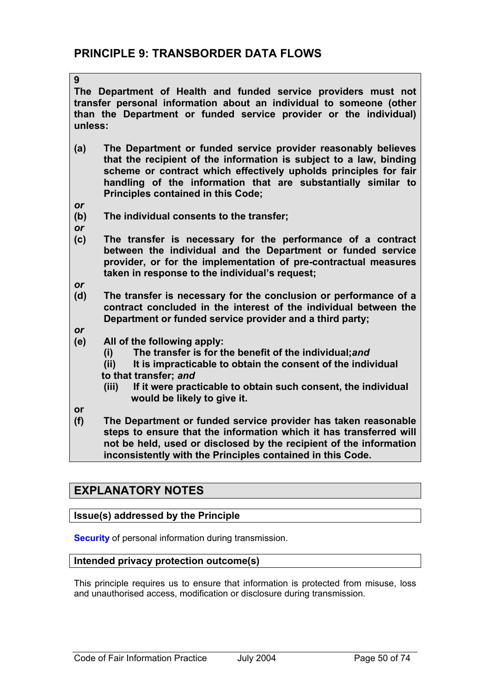**The Department of Health and funded service providers must not transfer personal information about an individual to someone (other than the Department or funded service provider or the individual) unless:** 

- **(a) The Department or funded service provider reasonably believes that the recipient of the information is subject to a law, binding scheme or contract which effectively upholds principles for fair handling of the information that are substantially similar to Principles contained in this Code;**
- *or*

**9** 

- **(b) The individual consents to the transfer;**
- *or*
- **(c) The transfer is necessary for the performance of a contract between the individual and the Department or funded service provider, or for the implementation of pre-contractual measures taken in response to the individual's request;**
- *or*
- **(d) The transfer is necessary for the conclusion or performance of a contract concluded in the interest of the individual between the Department or funded service provider and a third party;**
- *or*
- **(e) All of the following apply:** 
	- **(i) The transfer is for the benefit of the individual;***and*
	- **(ii) It is impracticable to obtain the consent of the individual to that transfer;** *and*
	- **(iii) If it were practicable to obtain such consent, the individual would be likely to give it.**
- **or**
- **(f) The Department or funded service provider has taken reasonable steps to ensure that the information which it has transferred will not be held, used or disclosed by the recipient of the information inconsistently with the Principles contained in this Code.**

# **EXPLANATORY NOTES**

## **Issue(s) addressed by the Principle**

**Security** of personal information during transmission.

## **Intended privacy protection outcome(s)**

This principle requires us to ensure that information is protected from misuse, loss and unauthorised access, modification or disclosure during transmission.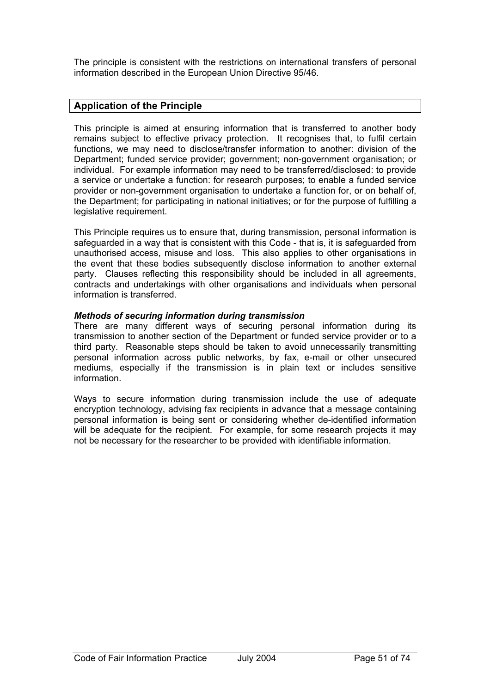The principle is consistent with the restrictions on international transfers of personal information described in the European Union Directive 95/46.

## **Application of the Principle**

This principle is aimed at ensuring information that is transferred to another body remains subject to effective privacy protection. It recognises that, to fulfil certain functions, we may need to disclose/transfer information to another: division of the Department; funded service provider; government; non-government organisation; or individual. For example information may need to be transferred/disclosed: to provide a service or undertake a function: for research purposes; to enable a funded service provider or non-government organisation to undertake a function for, or on behalf of, the Department; for participating in national initiatives; or for the purpose of fulfilling a legislative requirement.

This Principle requires us to ensure that, during transmission, personal information is safeguarded in a way that is consistent with this Code - that is, it is safeguarded from unauthorised access, misuse and loss. This also applies to other organisations in the event that these bodies subsequently disclose information to another external party. Clauses reflecting this responsibility should be included in all agreements, contracts and undertakings with other organisations and individuals when personal information is transferred.

### *Methods of securing information during transmission*

There are many different ways of securing personal information during its transmission to another section of the Department or funded service provider or to a third party. Reasonable steps should be taken to avoid unnecessarily transmitting personal information across public networks, by fax, e-mail or other unsecured mediums, especially if the transmission is in plain text or includes sensitive information.

Ways to secure information during transmission include the use of adequate encryption technology, advising fax recipients in advance that a message containing personal information is being sent or considering whether de-identified information will be adequate for the recipient. For example, for some research projects it may not be necessary for the researcher to be provided with identifiable information.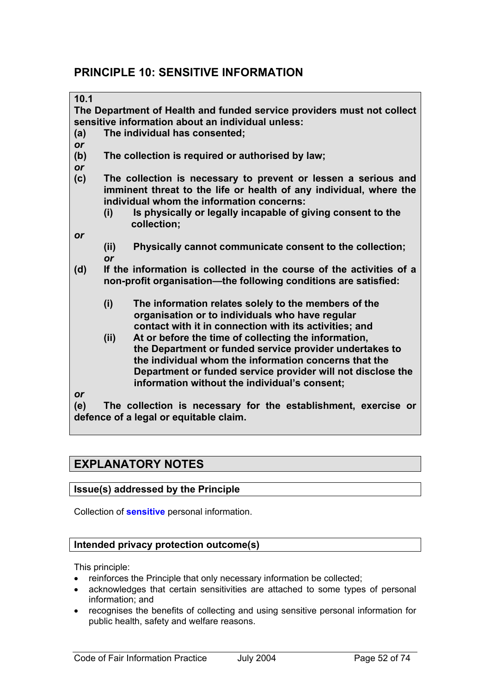# **PRINCIPLE 10: SENSITIVE INFORMATION**

| 10.1 |                                                                                                                                                                                   |                                                                                                                  |  |  |  |  |  |  |
|------|-----------------------------------------------------------------------------------------------------------------------------------------------------------------------------------|------------------------------------------------------------------------------------------------------------------|--|--|--|--|--|--|
|      |                                                                                                                                                                                   | The Department of Health and funded service providers must not collect                                           |  |  |  |  |  |  |
|      |                                                                                                                                                                                   | sensitive information about an individual unless:                                                                |  |  |  |  |  |  |
| (a)  | The individual has consented;                                                                                                                                                     |                                                                                                                  |  |  |  |  |  |  |
| or   |                                                                                                                                                                                   |                                                                                                                  |  |  |  |  |  |  |
| (b)  | The collection is required or authorised by law;                                                                                                                                  |                                                                                                                  |  |  |  |  |  |  |
| or   |                                                                                                                                                                                   |                                                                                                                  |  |  |  |  |  |  |
| (c)  | The collection is necessary to prevent or lessen a serious and<br>imminent threat to the life or health of any individual, where the<br>individual whom the information concerns: |                                                                                                                  |  |  |  |  |  |  |
|      | (i)                                                                                                                                                                               | Is physically or legally incapable of giving consent to the<br>collection;                                       |  |  |  |  |  |  |
| or   |                                                                                                                                                                                   |                                                                                                                  |  |  |  |  |  |  |
|      | (ii)                                                                                                                                                                              | Physically cannot communicate consent to the collection;                                                         |  |  |  |  |  |  |
|      | <b>or</b>                                                                                                                                                                         |                                                                                                                  |  |  |  |  |  |  |
| (d)  | If the information is collected in the course of the activities of a                                                                                                              |                                                                                                                  |  |  |  |  |  |  |
|      |                                                                                                                                                                                   | non-profit organisation-the following conditions are satisfied:                                                  |  |  |  |  |  |  |
|      | (i)                                                                                                                                                                               | The information relates solely to the members of the                                                             |  |  |  |  |  |  |
|      |                                                                                                                                                                                   | organisation or to individuals who have regular                                                                  |  |  |  |  |  |  |
|      |                                                                                                                                                                                   | contact with it in connection with its activities; and                                                           |  |  |  |  |  |  |
|      | (ii)                                                                                                                                                                              | At or before the time of collecting the information,                                                             |  |  |  |  |  |  |
|      |                                                                                                                                                                                   | the Department or funded service provider undertakes to<br>the individual whom the information concerns that the |  |  |  |  |  |  |
|      |                                                                                                                                                                                   | Department or funded service provider will not disclose the                                                      |  |  |  |  |  |  |
|      |                                                                                                                                                                                   | information without the individual's consent;                                                                    |  |  |  |  |  |  |
| or   |                                                                                                                                                                                   |                                                                                                                  |  |  |  |  |  |  |
| (e)  |                                                                                                                                                                                   | The collection is necessary for the establishment, exercise or                                                   |  |  |  |  |  |  |
|      |                                                                                                                                                                                   | defence of a legal or equitable claim.                                                                           |  |  |  |  |  |  |

# **EXPLANATORY NOTES**

## **Issue(s) addressed by the Principle**

Collection of **sensitive** personal information.

## **Intended privacy protection outcome(s)**

This principle:

- reinforces the Principle that only necessary information be collected;
- acknowledges that certain sensitivities are attached to some types of personal information; and
- recognises the benefits of collecting and using sensitive personal information for public health, safety and welfare reasons.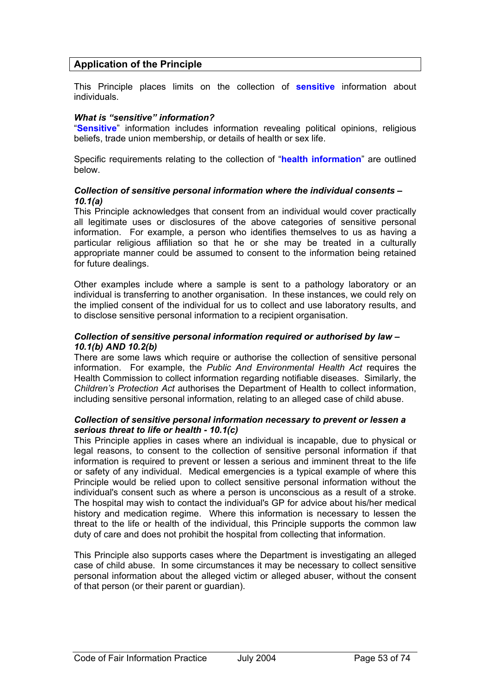## **Application of the Principle**

This Principle places limits on the collection of **sensitive** information about individuals.

#### *What is "sensitive" information?*

"**Sensitive**" information includes information revealing political opinions, religious beliefs, trade union membership, or details of health or sex life.

Specific requirements relating to the collection of "**health information**" are outlined below.

#### *Collection of sensitive personal information where the individual consents – 10.1(a)*

This Principle acknowledges that consent from an individual would cover practically all legitimate uses or disclosures of the above categories of sensitive personal information. For example, a person who identifies themselves to us as having a particular religious affiliation so that he or she may be treated in a culturally appropriate manner could be assumed to consent to the information being retained for future dealings.

Other examples include where a sample is sent to a pathology laboratory or an individual is transferring to another organisation. In these instances, we could rely on the implied consent of the individual for us to collect and use laboratory results, and to disclose sensitive personal information to a recipient organisation.

#### *Collection of sensitive personal information required or authorised by law – 10.1(b) AND 10.2(b)*

There are some laws which require or authorise the collection of sensitive personal information. For example, the *Public And Environmental Health Act* requires the Health Commission to collect information regarding notifiable diseases. Similarly, the *Children's Protection Act* authorises the Department of Health to collect information, including sensitive personal information, relating to an alleged case of child abuse.

#### *Collection of sensitive personal information necessary to prevent or lessen a serious threat to life or health - 10.1(c)*

This Principle applies in cases where an individual is incapable, due to physical or legal reasons, to consent to the collection of sensitive personal information if that information is required to prevent or lessen a serious and imminent threat to the life or safety of any individual. Medical emergencies is a typical example of where this Principle would be relied upon to collect sensitive personal information without the individual's consent such as where a person is unconscious as a result of a stroke. The hospital may wish to contact the individual's GP for advice about his/her medical history and medication regime. Where this information is necessary to lessen the threat to the life or health of the individual, this Principle supports the common law duty of care and does not prohibit the hospital from collecting that information.

This Principle also supports cases where the Department is investigating an alleged case of child abuse. In some circumstances it may be necessary to collect sensitive personal information about the alleged victim or alleged abuser, without the consent of that person (or their parent or guardian).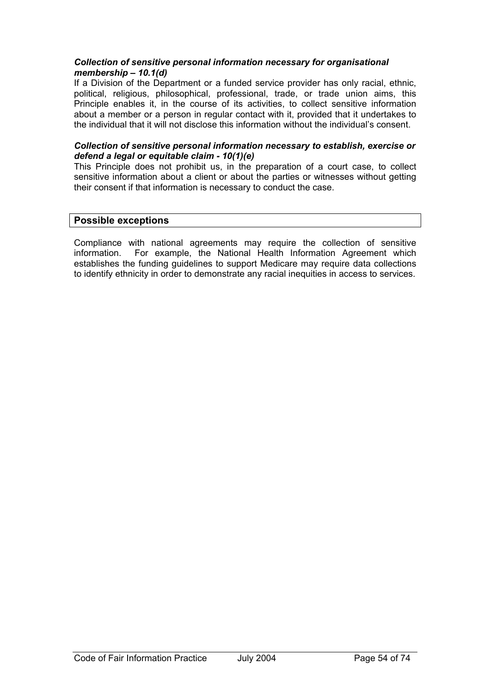### *Collection of sensitive personal information necessary for organisational membership – 10.1(d)*

If a Division of the Department or a funded service provider has only racial, ethnic, political, religious, philosophical, professional, trade, or trade union aims, this Principle enables it, in the course of its activities, to collect sensitive information about a member or a person in regular contact with it, provided that it undertakes to the individual that it will not disclose this information without the individual's consent.

#### *Collection of sensitive personal information necessary to establish, exercise or defend a legal or equitable claim - 10(1)(e)*

This Principle does not prohibit us, in the preparation of a court case, to collect sensitive information about a client or about the parties or witnesses without getting their consent if that information is necessary to conduct the case.

### **Possible exceptions**

Compliance with national agreements may require the collection of sensitive information. For example, the National Health Information Agreement which establishes the funding guidelines to support Medicare may require data collections to identify ethnicity in order to demonstrate any racial inequities in access to services.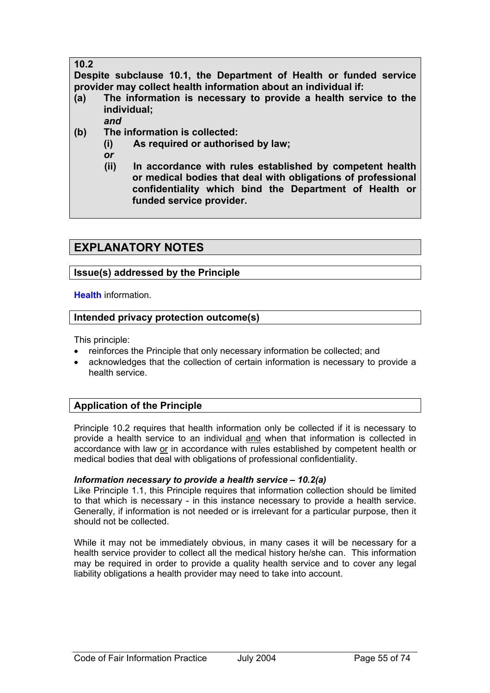## **10.2**

**Despite subclause 10.1, the Department of Health or funded service provider may collect health information about an individual if:** 

- **(a) The information is necessary to provide a health service to the individual;** 
	- *and*
- **(b) The information is collected:** 
	- **(i) As required or authorised by law;**
	- *or*
	- **(ii) In accordance with rules established by competent health or medical bodies that deal with obligations of professional confidentiality which bind the Department of Health or funded service provider.**

# **EXPLANATORY NOTES**

## **Issue(s) addressed by the Principle**

**Health** information.

## **Intended privacy protection outcome(s)**

This principle:

- reinforces the Principle that only necessary information be collected; and
- acknowledges that the collection of certain information is necessary to provide a health service.

## **Application of the Principle**

Principle 10.2 requires that health information only be collected if it is necessary to provide a health service to an individual and when that information is collected in accordance with law or in accordance with rules established by competent health or medical bodies that deal with obligations of professional confidentiality.

## *Information necessary to provide a health service – 10.2(a)*

Like Principle 1.1, this Principle requires that information collection should be limited to that which is necessary - in this instance necessary to provide a health service. Generally, if information is not needed or is irrelevant for a particular purpose, then it should not be collected.

While it may not be immediately obvious, in many cases it will be necessary for a health service provider to collect all the medical history he/she can. This information may be required in order to provide a quality health service and to cover any legal liability obligations a health provider may need to take into account.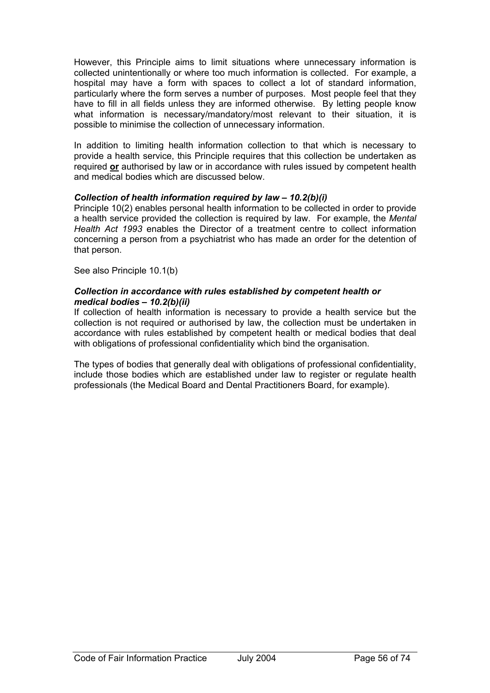However, this Principle aims to limit situations where unnecessary information is collected unintentionally or where too much information is collected. For example, a hospital may have a form with spaces to collect a lot of standard information, particularly where the form serves a number of purposes. Most people feel that they have to fill in all fields unless they are informed otherwise. By letting people know what information is necessary/mandatory/most relevant to their situation, it is possible to minimise the collection of unnecessary information.

In addition to limiting health information collection to that which is necessary to provide a health service, this Principle requires that this collection be undertaken as required **or** authorised by law or in accordance with rules issued by competent health and medical bodies which are discussed below.

## *Collection of health information required by law – 10.2(b)(i)*

Principle 10(2) enables personal health information to be collected in order to provide a health service provided the collection is required by law. For example, the *Mental Health Act 1993* enables the Director of a treatment centre to collect information concerning a person from a psychiatrist who has made an order for the detention of that person.

See also Principle 10.1(b)

### *Collection in accordance with rules established by competent health or medical bodies – 10.2(b)(ii)*

If collection of health information is necessary to provide a health service but the collection is not required or authorised by law, the collection must be undertaken in accordance with rules established by competent health or medical bodies that deal with obligations of professional confidentiality which bind the organisation.

The types of bodies that generally deal with obligations of professional confidentiality, include those bodies which are established under law to register or regulate health professionals (the Medical Board and Dental Practitioners Board, for example).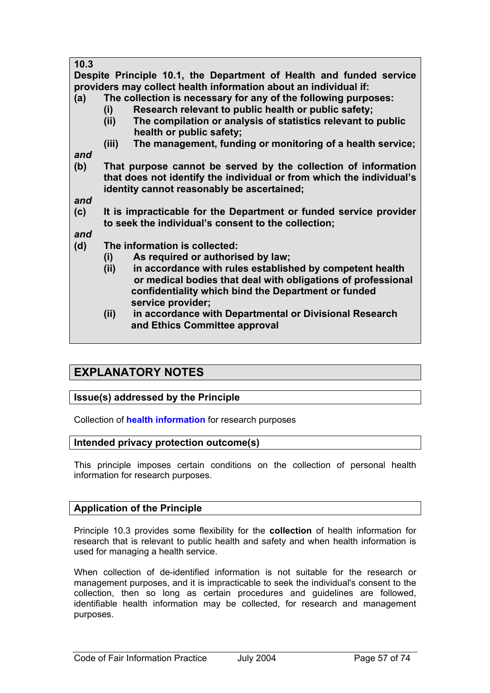| 10.3                                                                                                                                    |                                                                      |  |  |  |  |  |  |
|-----------------------------------------------------------------------------------------------------------------------------------------|----------------------------------------------------------------------|--|--|--|--|--|--|
| Despite Principle 10.1, the Department of Health and funded service<br>providers may collect health information about an individual if: |                                                                      |  |  |  |  |  |  |
| (a)                                                                                                                                     | The collection is necessary for any of the following purposes:       |  |  |  |  |  |  |
|                                                                                                                                         | Research relevant to public health or public safety;<br>(i)          |  |  |  |  |  |  |
|                                                                                                                                         | The compilation or analysis of statistics relevant to public<br>(ii) |  |  |  |  |  |  |
|                                                                                                                                         | health or public safety;                                             |  |  |  |  |  |  |
|                                                                                                                                         | The management, funding or monitoring of a health service;<br>(iii)  |  |  |  |  |  |  |
| and                                                                                                                                     |                                                                      |  |  |  |  |  |  |
| (b)                                                                                                                                     | That purpose cannot be served by the collection of information       |  |  |  |  |  |  |
|                                                                                                                                         | that does not identify the individual or from which the individual's |  |  |  |  |  |  |
|                                                                                                                                         | identity cannot reasonably be ascertained;                           |  |  |  |  |  |  |
| and                                                                                                                                     |                                                                      |  |  |  |  |  |  |
| (c)                                                                                                                                     | It is impracticable for the Department or funded service provider    |  |  |  |  |  |  |
|                                                                                                                                         | to seek the individual's consent to the collection;                  |  |  |  |  |  |  |
| and                                                                                                                                     |                                                                      |  |  |  |  |  |  |
| (d)                                                                                                                                     | The information is collected:                                        |  |  |  |  |  |  |
|                                                                                                                                         | As required or authorised by law;<br>(i)                             |  |  |  |  |  |  |
|                                                                                                                                         | in accordance with rules established by competent health<br>(ii)     |  |  |  |  |  |  |
|                                                                                                                                         | or medical bodies that deal with obligations of professional         |  |  |  |  |  |  |
|                                                                                                                                         | confidentiality which bind the Department or funded                  |  |  |  |  |  |  |
|                                                                                                                                         | service provider;                                                    |  |  |  |  |  |  |
|                                                                                                                                         | in accordance with Departmental or Divisional Research<br>(ii)       |  |  |  |  |  |  |
|                                                                                                                                         | and Ethics Committee approval                                        |  |  |  |  |  |  |

# **EXPLANATORY NOTES**

## **Issue(s) addressed by the Principle**

Collection of **health information** for research purposes

## **Intended privacy protection outcome(s)**

This principle imposes certain conditions on the collection of personal health information for research purposes.

## **Application of the Principle**

Principle 10.3 provides some flexibility for the **collection** of health information for research that is relevant to public health and safety and when health information is used for managing a health service.

When collection of de-identified information is not suitable for the research or management purposes, and it is impracticable to seek the individual's consent to the collection, then so long as certain procedures and guidelines are followed, identifiable health information may be collected, for research and management purposes.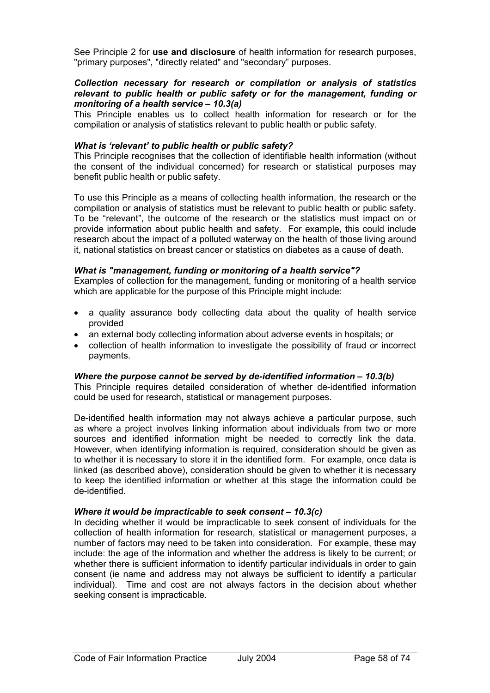See Principle 2 for **use and disclosure** of health information for research purposes, "primary purposes", "directly related" and "secondary" purposes.

#### *Collection necessary for research or compilation or analysis of statistics relevant to public health or public safety or for the management, funding or monitoring of a health service – 10.3(a)*

This Principle enables us to collect health information for research or for the compilation or analysis of statistics relevant to public health or public safety.

#### *What is 'relevant' to public health or public safety?*

This Principle recognises that the collection of identifiable health information (without the consent of the individual concerned) for research or statistical purposes may benefit public health or public safety.

To use this Principle as a means of collecting health information, the research or the compilation or analysis of statistics must be relevant to public health or public safety. To be "relevant", the outcome of the research or the statistics must impact on or provide information about public health and safety. For example, this could include research about the impact of a polluted waterway on the health of those living around it, national statistics on breast cancer or statistics on diabetes as a cause of death.

#### *What is "management, funding or monitoring of a health service"?*

Examples of collection for the management, funding or monitoring of a health service which are applicable for the purpose of this Principle might include:

- a quality assurance body collecting data about the quality of health service provided
- an external body collecting information about adverse events in hospitals; or
- collection of health information to investigate the possibility of fraud or incorrect payments.

#### *Where the purpose cannot be served by de-identified information – 10.3(b)*

This Principle requires detailed consideration of whether de-identified information could be used for research, statistical or management purposes.

De-identified health information may not always achieve a particular purpose, such as where a project involves linking information about individuals from two or more sources and identified information might be needed to correctly link the data. However, when identifying information is required, consideration should be given as to whether it is necessary to store it in the identified form. For example, once data is linked (as described above), consideration should be given to whether it is necessary to keep the identified information or whether at this stage the information could be de-identified.

#### *Where it would be impracticable to seek consent – 10.3(c)*

In deciding whether it would be impracticable to seek consent of individuals for the collection of health information for research, statistical or management purposes, a number of factors may need to be taken into consideration. For example, these may include: the age of the information and whether the address is likely to be current; or whether there is sufficient information to identify particular individuals in order to gain consent (ie name and address may not always be sufficient to identify a particular individual). Time and cost are not always factors in the decision about whether seeking consent is impracticable.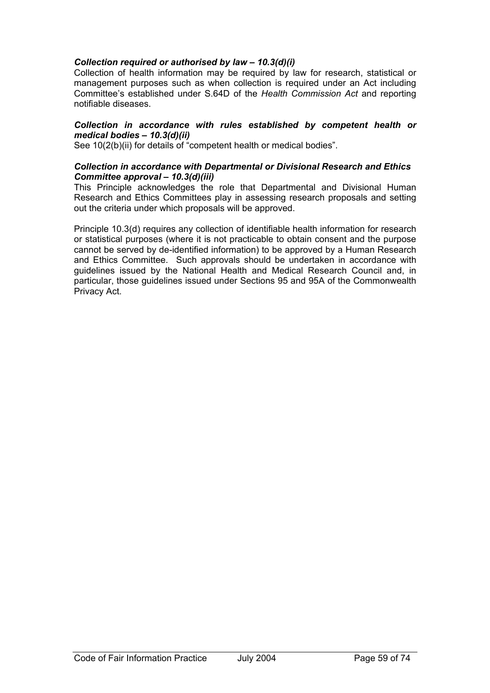## *Collection required or authorised by law – 10.3(d)(i)*

Collection of health information may be required by law for research, statistical or management purposes such as when collection is required under an Act including Committee's established under S.64D of the *Health Commission Act* and reporting notifiable diseases.

#### *Collection in accordance with rules established by competent health or medical bodies – 10.3(d)(ii)*

See 10(2(b)(ii) for details of "competent health or medical bodies".

#### *Collection in accordance with Departmental or Divisional Research and Ethics Committee approval – 10.3(d)(iii)*

This Principle acknowledges the role that Departmental and Divisional Human Research and Ethics Committees play in assessing research proposals and setting out the criteria under which proposals will be approved.

Principle 10.3(d) requires any collection of identifiable health information for research or statistical purposes (where it is not practicable to obtain consent and the purpose cannot be served by de-identified information) to be approved by a Human Research and Ethics Committee. Such approvals should be undertaken in accordance with guidelines issued by the National Health and Medical Research Council and, in particular, those guidelines issued under Sections 95 and 95A of the Commonwealth Privacy Act.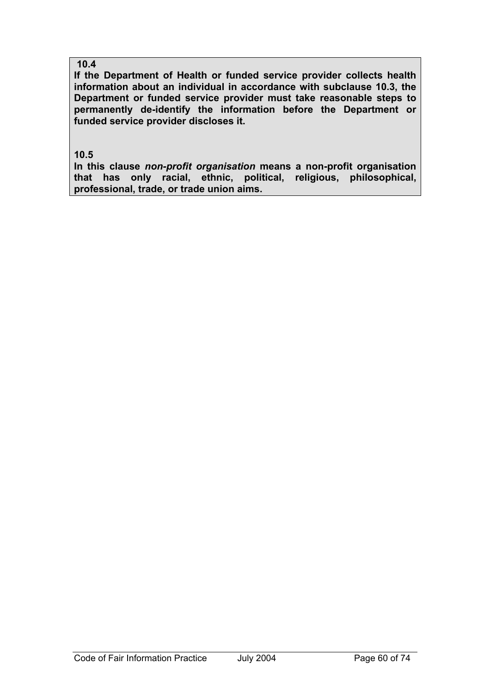## **10.4**

**If the Department of Health or funded service provider collects health information about an individual in accordance with subclause 10.3, the Department or funded service provider must take reasonable steps to permanently de-identify the information before the Department or funded service provider discloses it.** 

**10.5** 

**In this clause** *non-profit organisation* **means a non-profit organisation that has only racial, ethnic, political, religious, philosophical, professional, trade, or trade union aims.**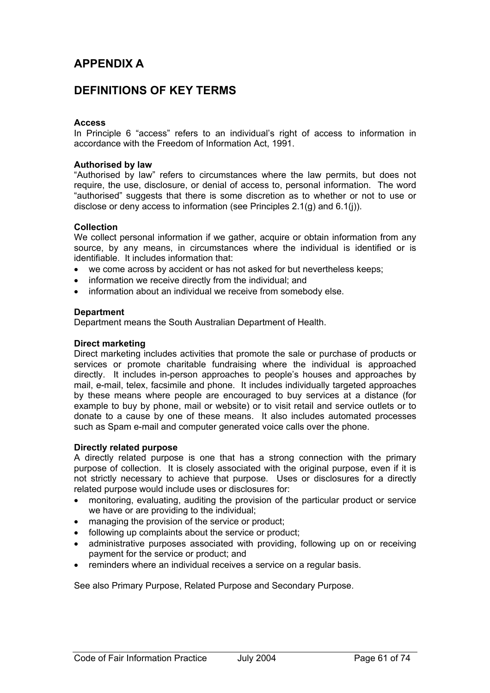# **APPENDIX A**

# **DEFINITIONS OF KEY TERMS**

### **Access**

In Principle 6 "access" refers to an individual's right of access to information in accordance with the Freedom of Information Act, 1991.

#### **Authorised by law**

"Authorised by law" refers to circumstances where the law permits, but does not require, the use, disclosure, or denial of access to, personal information. The word "authorised" suggests that there is some discretion as to whether or not to use or disclose or deny access to information (see Principles 2.1(g) and 6.1(j)).

#### **Collection**

We collect personal information if we gather, acquire or obtain information from any source, by any means, in circumstances where the individual is identified or is identifiable. It includes information that:

- we come across by accident or has not asked for but nevertheless keeps;
- information we receive directly from the individual; and
- information about an individual we receive from somebody else.

#### **Department**

Department means the South Australian Department of Health.

#### **Direct marketing**

Direct marketing includes activities that promote the sale or purchase of products or services or promote charitable fundraising where the individual is approached directly. It includes in-person approaches to people's houses and approaches by mail, e-mail, telex, facsimile and phone. It includes individually targeted approaches by these means where people are encouraged to buy services at a distance (for example to buy by phone, mail or website) or to visit retail and service outlets or to donate to a cause by one of these means. It also includes automated processes such as Spam e-mail and computer generated voice calls over the phone.

#### **Directly related purpose**

A directly related purpose is one that has a strong connection with the primary purpose of collection. It is closely associated with the original purpose, even if it is not strictly necessary to achieve that purpose. Uses or disclosures for a directly related purpose would include uses or disclosures for:

- monitoring, evaluating, auditing the provision of the particular product or service we have or are providing to the individual;
- managing the provision of the service or product;
- following up complaints about the service or product;
- administrative purposes associated with providing, following up on or receiving payment for the service or product; and
- reminders where an individual receives a service on a regular basis.

See also Primary Purpose, Related Purpose and Secondary Purpose.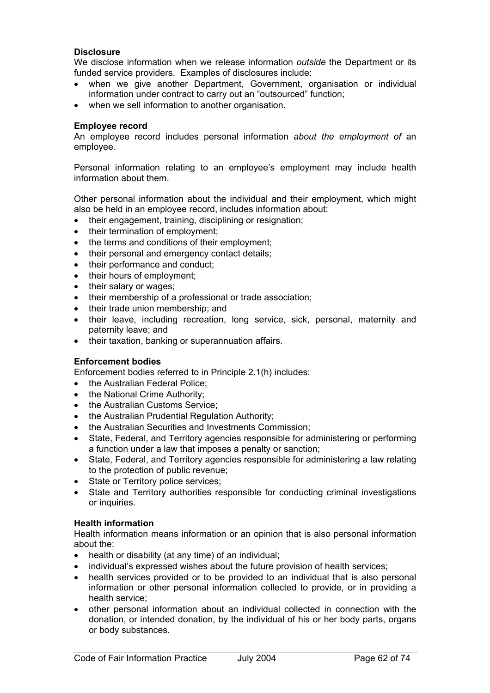### **Disclosure**

We disclose information when we release information *outside* the Department or its funded service providers. Examples of disclosures include:

- when we give another Department, Government, organisation or individual information under contract to carry out an "outsourced" function;
- when we sell information to another organisation.

#### **Employee record**

An employee record includes personal information *about the employment of* an employee.

Personal information relating to an employee's employment may include health information about them.

Other personal information about the individual and their employment, which might also be held in an employee record, includes information about:

- their engagement, training, disciplining or resignation;
- their termination of employment;
- the terms and conditions of their employment;
- their personal and emergency contact details;
- their performance and conduct;
- their hours of employment:
- their salary or wages:
- their membership of a professional or trade association;
- their trade union membership; and
- their leave, including recreation, long service, sick, personal, maternity and paternity leave; and
- their taxation, banking or superannuation affairs.

#### **Enforcement bodies**

Enforcement bodies referred to in Principle 2.1(h) includes:

- the Australian Federal Police;
- the National Crime Authority;
- the Australian Customs Service;
- the Australian Prudential Regulation Authority;
- the Australian Securities and Investments Commission;
- State, Federal, and Territory agencies responsible for administering or performing a function under a law that imposes a penalty or sanction;
- State, Federal, and Territory agencies responsible for administering a law relating to the protection of public revenue;
- State or Territory police services;
- State and Territory authorities responsible for conducting criminal investigations or inquiries.

#### **Health information**

Health information means information or an opinion that is also personal information about the:

- health or disability (at any time) of an individual;
- individual's expressed wishes about the future provision of health services;
- health services provided or to be provided to an individual that is also personal information or other personal information collected to provide, or in providing a health service;
- other personal information about an individual collected in connection with the donation, or intended donation, by the individual of his or her body parts, organs or body substances.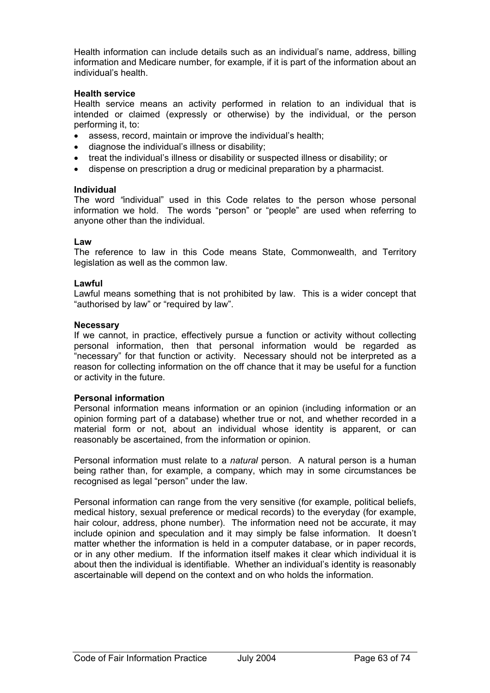Health information can include details such as an individual's name, address, billing information and Medicare number, for example, if it is part of the information about an individual's health.

### **Health service**

Health service means an activity performed in relation to an individual that is intended or claimed (expressly or otherwise) by the individual, or the person performing it, to:

- assess, record, maintain or improve the individual's health;
- diagnose the individual's illness or disability;
- treat the individual's illness or disability or suspected illness or disability; or
- dispense on prescription a drug or medicinal preparation by a pharmacist.

#### **Individual**

The word *"*individual" used in this Code relates to the person whose personal information we hold. The words "person" or "people" are used when referring to anyone other than the individual.

#### **Law**

The reference to law in this Code means State, Commonwealth, and Territory legislation as well as the common law.

#### **Lawful**

Lawful means something that is not prohibited by law. This is a wider concept that "authorised by law" or "required by law".

#### **Necessary**

If we cannot, in practice, effectively pursue a function or activity without collecting personal information, then that personal information would be regarded as "necessary" for that function or activity. Necessary should not be interpreted as a reason for collecting information on the off chance that it may be useful for a function or activity in the future.

#### **Personal information**

Personal information means information or an opinion (including information or an opinion forming part of a database) whether true or not, and whether recorded in a material form or not, about an individual whose identity is apparent, or can reasonably be ascertained, from the information or opinion.

Personal information must relate to a *natural* person. A natural person is a human being rather than, for example, a company, which may in some circumstances be recognised as legal "person" under the law.

Personal information can range from the very sensitive (for example, political beliefs, medical history, sexual preference or medical records) to the everyday (for example, hair colour, address, phone number). The information need not be accurate, it may include opinion and speculation and it may simply be false information. It doesn't matter whether the information is held in a computer database, or in paper records, or in any other medium. If the information itself makes it clear which individual it is about then the individual is identifiable. Whether an individual's identity is reasonably ascertainable will depend on the context and on who holds the information.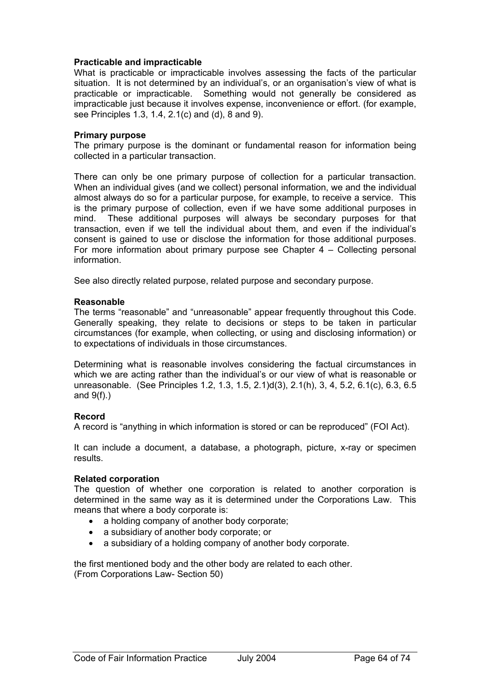#### **Practicable and impracticable**

What is practicable or impracticable involves assessing the facts of the particular situation. It is not determined by an individual's, or an organisation's view of what is practicable or impracticable. Something would not generally be considered as impracticable just because it involves expense, inconvenience or effort. (for example, see Principles 1.3, 1.4, 2.1(c) and (d), 8 and 9).

#### **Primary purpose**

The primary purpose is the dominant or fundamental reason for information being collected in a particular transaction.

There can only be one primary purpose of collection for a particular transaction. When an individual gives (and we collect) personal information, we and the individual almost always do so for a particular purpose, for example, to receive a service. This is the primary purpose of collection, even if we have some additional purposes in mind. These additional purposes will always be secondary purposes for that transaction, even if we tell the individual about them, and even if the individual's consent is gained to use or disclose the information for those additional purposes. For more information about primary purpose see Chapter 4 – Collecting personal information.

See also directly related purpose, related purpose and secondary purpose.

### **Reasonable**

The terms "reasonable" and "unreasonable" appear frequently throughout this Code. Generally speaking, they relate to decisions or steps to be taken in particular circumstances (for example, when collecting, or using and disclosing information) or to expectations of individuals in those circumstances.

Determining what is reasonable involves considering the factual circumstances in which we are acting rather than the individual's or our view of what is reasonable or unreasonable. (See Principles 1.2, 1.3, 1.5, 2.1)d(3), 2.1(h), 3, 4, 5.2, 6.1(c), 6.3, 6.5 and  $9(f)$ .)

## **Record**

A record is "anything in which information is stored or can be reproduced" (FOI Act).

It can include a document, a database, a photograph, picture, x-ray or specimen results.

#### **Related corporation**

The question of whether one corporation is related to another corporation is determined in the same way as it is determined under the Corporations Law. This means that where a body corporate is:

- a holding company of another body corporate:
- a subsidiary of another body corporate; or
- a subsidiary of a holding company of another body corporate.

the first mentioned body and the other body are related to each other. (From Corporations Law- Section 50)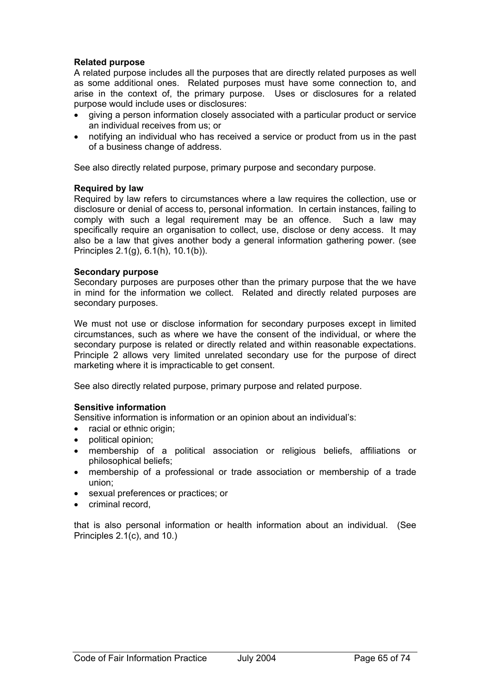### **Related purpose**

A related purpose includes all the purposes that are directly related purposes as well as some additional ones. Related purposes must have some connection to, and arise in the context of, the primary purpose. Uses or disclosures for a related purpose would include uses or disclosures:

- giving a person information closely associated with a particular product or service an individual receives from us; or
- notifying an individual who has received a service or product from us in the past of a business change of address.

See also directly related purpose, primary purpose and secondary purpose.

### **Required by law**

Required by law refers to circumstances where a law requires the collection, use or disclosure or denial of access to, personal information. In certain instances, failing to comply with such a legal requirement may be an offence. Such a law may specifically require an organisation to collect, use, disclose or deny access. It may also be a law that gives another body a general information gathering power. (see Principles 2.1(g), 6.1(h), 10.1(b)).

#### **Secondary purpose**

Secondary purposes are purposes other than the primary purpose that the we have in mind for the information we collect. Related and directly related purposes are secondary purposes.

We must not use or disclose information for secondary purposes except in limited circumstances, such as where we have the consent of the individual, or where the secondary purpose is related or directly related and within reasonable expectations. Principle 2 allows very limited unrelated secondary use for the purpose of direct marketing where it is impracticable to get consent.

See also directly related purpose, primary purpose and related purpose.

## **Sensitive information**

Sensitive information is information or an opinion about an individual's:

- racial or ethnic origin:
- political opinion;
- membership of a political association or religious beliefs, affiliations or philosophical beliefs;
- membership of a professional or trade association or membership of a trade union;
- sexual preferences or practices; or
- criminal record.

that is also personal information or health information about an individual. (See Principles 2.1(c), and 10.)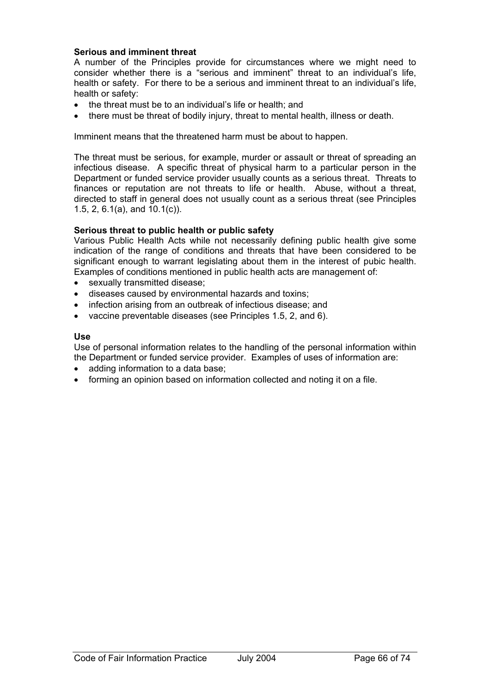### **Serious and imminent threat**

A number of the Principles provide for circumstances where we might need to consider whether there is a "serious and imminent" threat to an individual's life, health or safety. For there to be a serious and imminent threat to an individual's life, health or safety:

- the threat must be to an individual's life or health; and
- there must be threat of bodily injury, threat to mental health, illness or death.

Imminent means that the threatened harm must be about to happen.

The threat must be serious, for example, murder or assault or threat of spreading an infectious disease. A specific threat of physical harm to a particular person in the Department or funded service provider usually counts as a serious threat. Threats to finances or reputation are not threats to life or health. Abuse, without a threat, directed to staff in general does not usually count as a serious threat (see Principles 1.5, 2, 6.1(a), and 10.1(c)).

### **Serious threat to public health or public safety**

Various Public Health Acts while not necessarily defining public health give some indication of the range of conditions and threats that have been considered to be significant enough to warrant legislating about them in the interest of pubic health. Examples of conditions mentioned in public health acts are management of:

- sexually transmitted disease:
- diseases caused by environmental hazards and toxins;
- infection arising from an outbreak of infectious disease; and
- vaccine preventable diseases (see Principles 1.5, 2, and 6).

#### **Use**

Use of personal information relates to the handling of the personal information within the Department or funded service provider. Examples of uses of information are:

- adding information to a data base;
- forming an opinion based on information collected and noting it on a file.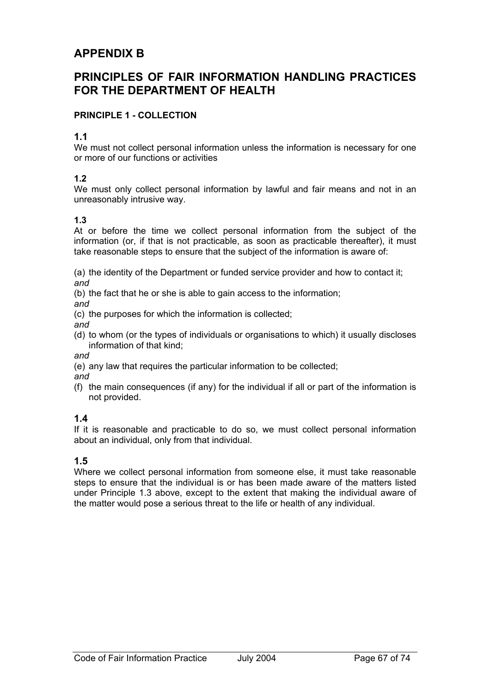# **APPENDIX B**

# **PRINCIPLES OF FAIR INFORMATION HANDLING PRACTICES FOR THE DEPARTMENT OF HEALTH**

## **PRINCIPLE 1 - COLLECTION**

## **1.1**

We must not collect personal information unless the information is necessary for one or more of our functions or activities

## **1.2**

We must only collect personal information by lawful and fair means and not in an unreasonably intrusive way.

## **1.3**

At or before the time we collect personal information from the subject of the information (or, if that is not practicable, as soon as practicable thereafter), it must take reasonable steps to ensure that the subject of the information is aware of:

(a) the identity of the Department or funded service provider and how to contact it; *and* 

(b) the fact that he or she is able to gain access to the information;

*and* 

(c) the purposes for which the information is collected;

*and* 

(d) to whom (or the types of individuals or organisations to which) it usually discloses information of that kind;

*and* 

(e) any law that requires the particular information to be collected;

*and* 

(f) the main consequences (if any) for the individual if all or part of the information is not provided.

## **1.4**

If it is reasonable and practicable to do so, we must collect personal information about an individual, only from that individual.

## **1.5**

Where we collect personal information from someone else, it must take reasonable steps to ensure that the individual is or has been made aware of the matters listed under Principle 1.3 above, except to the extent that making the individual aware of the matter would pose a serious threat to the life or health of any individual.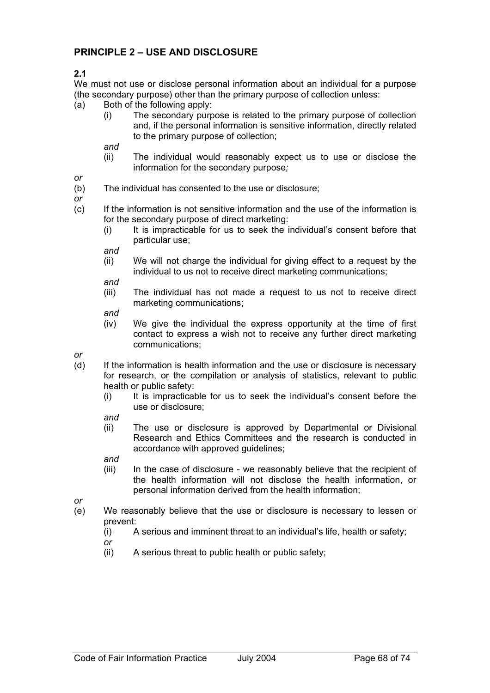# **PRINCIPLE 2 – USE AND DISCLOSURE**

**2.1** 

We must not use or disclose personal information about an individual for a purpose (the secondary purpose) other than the primary purpose of collection unless:

- (a) Both of the following apply:
	- (i) The secondary purpose is related to the primary purpose of collection and, if the personal information is sensitive information, directly related to the primary purpose of collection;

*and* 

(ii) The individual would reasonably expect us to use or disclose the information for the secondary purpose*;*

*or* 

(b) The individual has consented to the use or disclosure;

*or* 

- (c) If the information is not sensitive information and the use of the information is for the secondary purpose of direct marketing:
	- (i) It is impracticable for us to seek the individual's consent before that particular use;

*and* 

(ii) We will not charge the individual for giving effect to a request by the individual to us not to receive direct marketing communications;

*and* 

(iii) The individual has not made a request to us not to receive direct marketing communications;

*and* 

(iv) We give the individual the express opportunity at the time of first contact to express a wish not to receive any further direct marketing communications;

*or* 

- (d) If the information is health information and the use or disclosure is necessary for research, or the compilation or analysis of statistics, relevant to public health or public safety:
	- (i) It is impracticable for us to seek the individual's consent before the use or disclosure;

*and* 

(ii) The use or disclosure is approved by Departmental or Divisional Research and Ethics Committees and the research is conducted in accordance with approved guidelines;

*and* 

(iii) In the case of disclosure - we reasonably believe that the recipient of the health information will not disclose the health information, or personal information derived from the health information;

*or* 

- (e) We reasonably believe that the use or disclosure is necessary to lessen or prevent:
	- (i) A serious and imminent threat to an individual's life, health or safety;

*or* 

(ii) A serious threat to public health or public safety;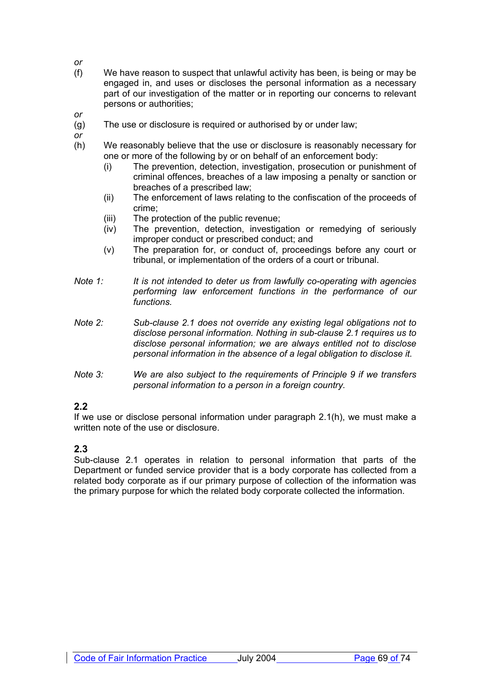- (f) We have reason to suspect that unlawful activity has been, is being or may be engaged in, and uses or discloses the personal information as a necessary part of our investigation of the matter or in reporting our concerns to relevant persons or authorities;
- (g) The use or disclosure is required or authorised by or under law;
- *or*

*or* 

*or* 

- (h) We reasonably believe that the use or disclosure is reasonably necessary for one or more of the following by or on behalf of an enforcement body:
	- (i) The prevention, detection, investigation, prosecution or punishment of criminal offences, breaches of a law imposing a penalty or sanction or breaches of a prescribed law;
	- (ii) The enforcement of laws relating to the confiscation of the proceeds of crime;
	- (iii) The protection of the public revenue;
	- (iv) The prevention, detection, investigation or remedying of seriously improper conduct or prescribed conduct; and
	- (v) The preparation for, or conduct of, proceedings before any court or tribunal, or implementation of the orders of a court or tribunal.
- *Note 1: It is not intended to deter us from lawfully co-operating with agencies performing law enforcement functions in the performance of our functions.*
- *Note 2: Sub-clause 2.1 does not override any existing legal obligations not to disclose personal information. Nothing in sub-clause 2.1 requires us to disclose personal information; we are always entitled not to disclose personal information in the absence of a legal obligation to disclose it.*
- *Note 3: We are also subject to the requirements of Principle 9 if we transfers personal information to a person in a foreign country.*

# **2.2**

If we use or disclose personal information under paragraph 2.1(h), we must make a written note of the use or disclosure.

#### **2.3**

Sub-clause 2.1 operates in relation to personal information that parts of the Department or funded service provider that is a body corporate has collected from a related body corporate as if our primary purpose of collection of the information was the primary purpose for which the related body corporate collected the information.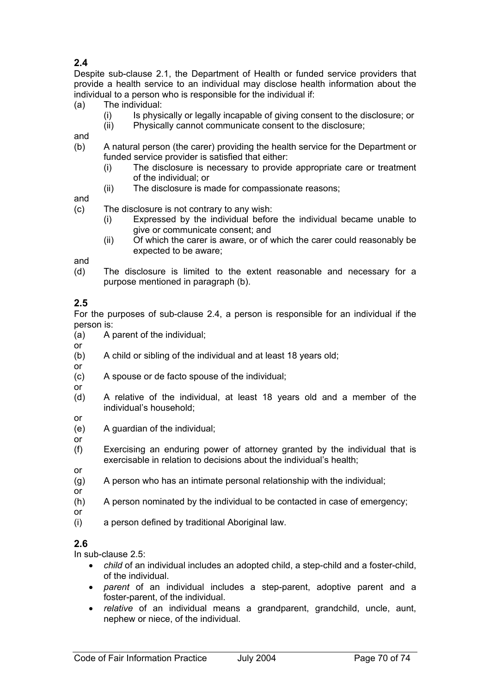# **2.4**

Despite sub-clause 2.1, the Department of Health or funded service providers that provide a health service to an individual may disclose health information about the individual to a person who is responsible for the individual if:

- (a) The individual:
	- (i) Is physically or legally incapable of giving consent to the disclosure; or
	- (ii) Physically cannot communicate consent to the disclosure;

and

- (b) A natural person (the carer) providing the health service for the Department or funded service provider is satisfied that either:
	- (i) The disclosure is necessary to provide appropriate care or treatment of the individual; or
	- (ii) The disclosure is made for compassionate reasons;

and

- (c) The disclosure is not contrary to any wish:
	- (i) Expressed by the individual before the individual became unable to give or communicate consent; and
	- (ii) Of which the carer is aware, or of which the carer could reasonably be expected to be aware;

and

(d) The disclosure is limited to the extent reasonable and necessary for a purpose mentioned in paragraph (b).

#### **2.5**

For the purposes of sub-clause 2.4, a person is responsible for an individual if the person is:

- (a) A parent of the individual;
- or
- (b) A child or sibling of the individual and at least 18 years old;
- or

or

- (c) A spouse or de facto spouse of the individual;
- (d) A relative of the individual, at least 18 years old and a member of the individual's household;
- or
- (e) A guardian of the individual;
- or
- (f) Exercising an enduring power of attorney granted by the individual that is exercisable in relation to decisions about the individual's health;
- or
- (g) A person who has an intimate personal relationship with the individual;
- or (h) A person nominated by the individual to be contacted in case of emergency;
- or
- (i) a person defined by traditional Aboriginal law.

## **2.6**

In sub-clause 2.5:

- *child* of an individual includes an adopted child, a step-child and a foster-child, of the individual.
- *parent* of an individual includes a step-parent, adoptive parent and a foster-parent, of the individual.
- *relative* of an individual means a grandparent, grandchild, uncle, aunt, nephew or niece, of the individual.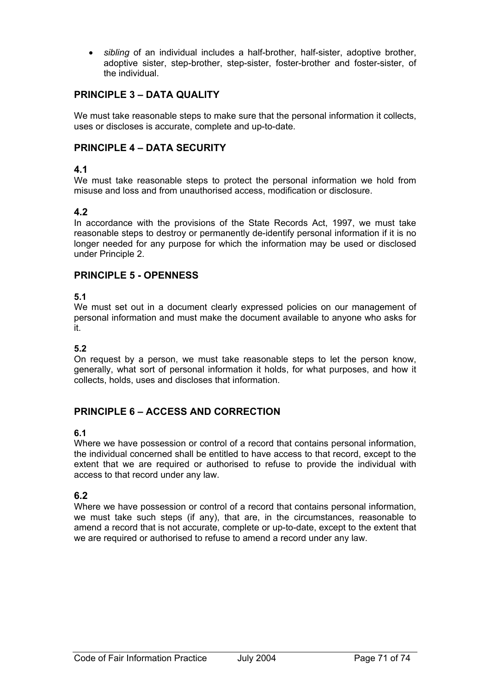• *sibling* of an individual includes a half-brother, half-sister, adoptive brother, adoptive sister, step-brother, step-sister, foster-brother and foster-sister, of the individual.

# **PRINCIPLE 3 – DATA QUALITY**

We must take reasonable steps to make sure that the personal information it collects, uses or discloses is accurate, complete and up-to-date.

# **PRINCIPLE 4 – DATA SECURITY**

### **4.1**

We must take reasonable steps to protect the personal information we hold from misuse and loss and from unauthorised access, modification or disclosure.

#### **4.2**

In accordance with the provisions of the State Records Act, 1997, we must take reasonable steps to destroy or permanently de-identify personal information if it is no longer needed for any purpose for which the information may be used or disclosed under Principle 2.

#### **PRINCIPLE 5 - OPENNESS**

#### **5.1**

We must set out in a document clearly expressed policies on our management of personal information and must make the document available to anyone who asks for it.

### **5.2**

On request by a person, we must take reasonable steps to let the person know, generally, what sort of personal information it holds, for what purposes, and how it collects, holds, uses and discloses that information.

## **PRINCIPLE 6 – ACCESS AND CORRECTION**

#### **6.1**

Where we have possession or control of a record that contains personal information, the individual concerned shall be entitled to have access to that record, except to the extent that we are required or authorised to refuse to provide the individual with access to that record under any law.

## **6.2**

Where we have possession or control of a record that contains personal information, we must take such steps (if any), that are, in the circumstances, reasonable to amend a record that is not accurate, complete or up-to-date, except to the extent that we are required or authorised to refuse to amend a record under any law.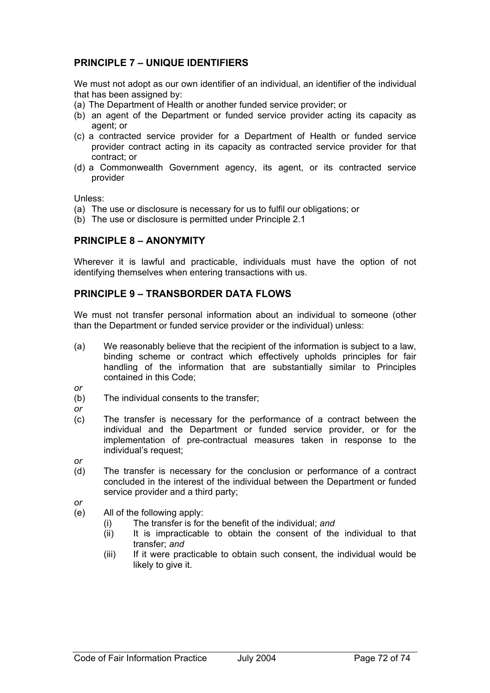## **PRINCIPLE 7 – UNIQUE IDENTIFIERS**

We must not adopt as our own identifier of an individual, an identifier of the individual that has been assigned by:

- (a) The Department of Health or another funded service provider; or
- (b) an agent of the Department or funded service provider acting its capacity as agent; or
- (c) a contracted service provider for a Department of Health or funded service provider contract acting in its capacity as contracted service provider for that contract; or
- (d) a Commonwealth Government agency, its agent, or its contracted service provider

Unless:

- (a) The use or disclosure is necessary for us to fulfil our obligations; or
- (b) The use or disclosure is permitted under Principle 2.1

### **PRINCIPLE 8 – ANONYMITY**

Wherever it is lawful and practicable, individuals must have the option of not identifying themselves when entering transactions with us.

#### **PRINCIPLE 9 – TRANSBORDER DATA FLOWS**

We must not transfer personal information about an individual to someone (other than the Department or funded service provider or the individual) unless:

(a) We reasonably believe that the recipient of the information is subject to a law, binding scheme or contract which effectively upholds principles for fair handling of the information that are substantially similar to Principles contained in this Code;

*or* 

- (b) The individual consents to the transfer;
- *or*
- (c) The transfer is necessary for the performance of a contract between the individual and the Department or funded service provider, or for the implementation of pre-contractual measures taken in response to the individual's request;
- *or*
- (d) The transfer is necessary for the conclusion or performance of a contract concluded in the interest of the individual between the Department or funded service provider and a third party;
- *or*
- (e) All of the following apply:
	- (i) The transfer is for the benefit of the individual; *and*
	- (ii) It is impracticable to obtain the consent of the individual to that transfer; *and*
	- (iii) If it were practicable to obtain such consent, the individual would be likely to give it.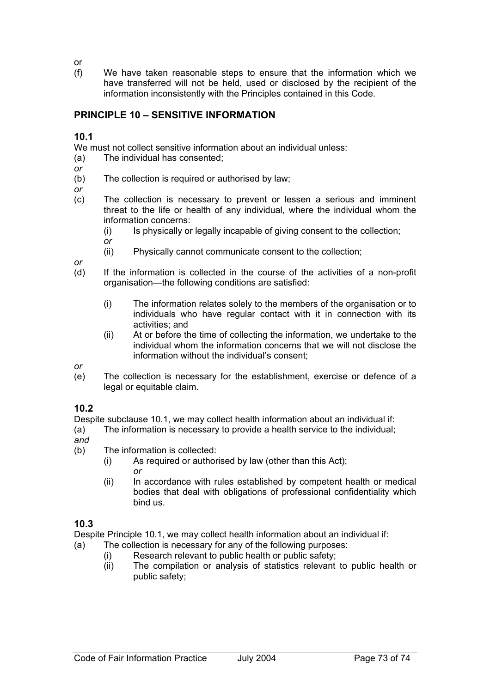or

(f) We have taken reasonable steps to ensure that the information which we have transferred will not be held, used or disclosed by the recipient of the information inconsistently with the Principles contained in this Code.

# **PRINCIPLE 10 – SENSITIVE INFORMATION**

#### **10.1**

We must not collect sensitive information about an individual unless:

- (a) The individual has consented;
- *or*
- (b) The collection is required or authorised by law;
- *or*
- (c) The collection is necessary to prevent or lessen a serious and imminent threat to the life or health of any individual, where the individual whom the information concerns:
	- (i) Is physically or legally incapable of giving consent to the collection;
	- *or*
	- (ii) Physically cannot communicate consent to the collection;

*or* 

- (d) If the information is collected in the course of the activities of a non-profit organisation—the following conditions are satisfied:
	- (i) The information relates solely to the members of the organisation or to individuals who have regular contact with it in connection with its activities; and
	- (ii) At or before the time of collecting the information, we undertake to the individual whom the information concerns that we will not disclose the information without the individual's consent;

*or* 

(e) The collection is necessary for the establishment, exercise or defence of a legal or equitable claim.

#### **10.2**

Despite subclause 10.1, we may collect health information about an individual if:

(a) The information is necessary to provide a health service to the individual; *and* 

- 
- (b) The information is collected:
	- (i) As required or authorised by law (other than this Act); *or*
	- (ii) In accordance with rules established by competent health or medical bodies that deal with obligations of professional confidentiality which bind us.

## **10.3**

Despite Principle 10.1, we may collect health information about an individual if:

- (a) The collection is necessary for any of the following purposes:
	- (i) Research relevant to public health or public safety;
	- (ii) The compilation or analysis of statistics relevant to public health or public safety;